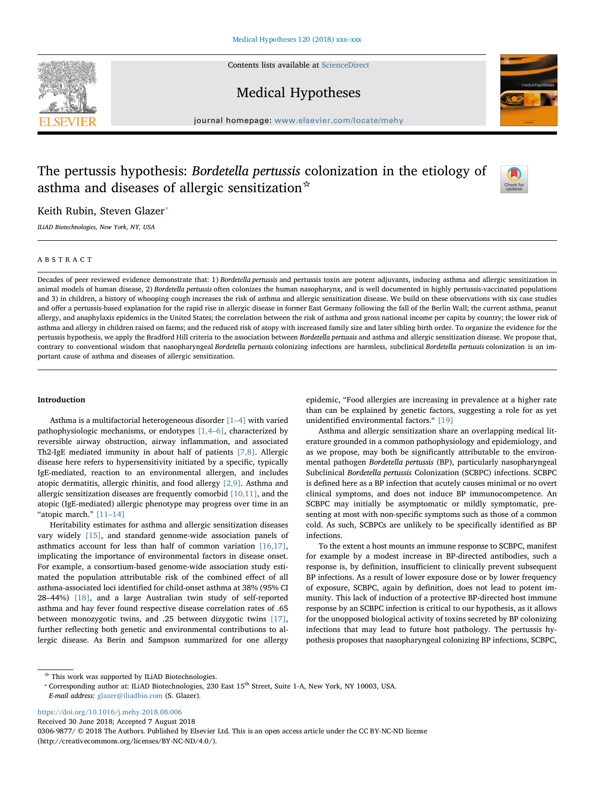Contents lists available at [ScienceDirect](http://www.sciencedirect.com/science/journal/03069877)







journal homepage: [www.elsevier.com/locate/mehy](https://www.elsevier.com/locate/mehy)/ $\frac{1}{\sqrt{N}}$ 

# The pertussis hypothesis: Bordetella pertussis colonization in the etiology of asthma and diseases of allergic sensitization $\dot{\mathbf{x}}$



Keith Rubin, Steven Glazer<sup>\*</sup>

ILiAD Biotechnologies, New York, NY, USA

#### ABSTRACT

Decades of peer reviewed evidence demonstrate that: 1) Bordetella pertussis and pertussis toxin are potent adjuvants, inducing asthma and allergic sensitization in animal models of human disease, 2) Bordetella pertussis often colonizes the human nasopharynx, and is well documented in highly pertussis-vaccinated populations and 3) in children, a history of whooping cough increases the risk of asthma and allergic sensitization disease. We build on these observations with six case studies and offer a pertussis-based explanation for the rapid rise in allergic disease in former East Germany following the fall of the Berlin Wall; the current asthma, peanut allergy, and anaphylaxis epidemics in the United States; the correlation between the risk of asthma and gross national income per capita by country; the lower risk of asthma and allergy in children raised on farms; and the reduced risk of atopy with increased family size and later sibling birth order. To organize the evidence for the pertussis hypothesis, we apply the Bradford Hill criteria to the association between Bordetella pertussis and asthma and allergic sensitization disease. We propose that, contrary to conventional wisdom that nasopharyngeal Bordetella pertussis colonizing infections are harmless, subclinical Bordetella pertussis colonization is an important cause of asthma and diseases of allergic sensitization.

# Introduction

Asthma is a multifactorial heterogeneous disorder [1–[4\]](#page-11-0) with varied pathophysiologic mechanisms, or endotypes [\[1,4](#page-11-0)–6], characterized by reversible airway obstruction, airway inflammation, and associated Th2-IgE mediated immunity in about half of patients [\[7,8\]](#page-11-1). Allergic disease here refers to hypersensitivity initiated by a specific, typically IgE-mediated, reaction to an environmental allergen, and includes atopic dermatitis, allergic rhinitis, and food allergy [\[2,9\]](#page-11-2). Asthma and allergic sensitization diseases are frequently comorbid  $[10,11]$ , and the atopic (IgE-mediated) allergic phenotype may progress over time in an "atopic march." [\[11](#page-11-4)–14]

Heritability estimates for asthma and allergic sensitization diseases vary widely [\[15\]](#page-11-5), and standard genome-wide association panels of asthmatics account for less than half of common variation [\[16,17\]](#page-11-6), implicating the importance of environmental factors in disease onset. For example, a consortium-based genome-wide association study estimated the population attributable risk of the combined effect of all asthma-associated loci identified for child-onset asthma at 38% (95% CI 28–44%) [\[18\],](#page-11-7) and a large Australian twin study of self-reported asthma and hay fever found respective disease correlation rates of .65 between monozygotic twins, and .25 between dizygotic twins [\[17\]](#page-11-8), further reflecting both genetic and environmental contributions to allergic disease. As Berin and Sampson summarized for one allergy

epidemic, "Food allergies are increasing in prevalence at a higher rate than can be explained by genetic factors, suggesting a role for as yet unidentified environmental factors." [\[19\]](#page-11-9)

Asthma and allergic sensitization share an overlapping medical literature grounded in a common pathophysiology and epidemiology, and as we propose, may both be significantly attributable to the environmental pathogen Bordetella pertussis (BP), particularly nasopharyngeal Subclinical Bordetella pertussis Colonization (SCBPC) infections. SCBPC is defined here as a BP infection that acutely causes minimal or no overt clinical symptoms, and does not induce BP immunocompetence. An SCBPC may initially be asymptomatic or mildly symptomatic, presenting at most with non-specific symptoms such as those of a common cold. As such, SCBPCs are unlikely to be specifically identified as BP infections.

To the extent a host mounts an immune response to SCBPC, manifest for example by a modest increase in BP-directed antibodies, such a response is, by definition, insufficient to clinically prevent subsequent BP infections. As a result of lower exposure dose or by lower frequency of exposure, SCBPC, again by definition, does not lead to potent immunity. This lack of induction of a protective BP-directed host immune response by an SCBPC infection is critical to our hypothesis, as it allows for the unopposed biological activity of toxins secreted by BP colonizing infections that may lead to future host pathology. The pertussis hypothesis proposes that nasopharyngeal colonizing BP infections, SCBPC,

<https://doi.org/10.1016/j.mehy.2018.08.006>

Received 30 June 2018; Accepted 7 August 2018

0306-9877/ © 2018 The Authors. Published by Elsevier Ltd. This is an open access article under the CC BY-NC-ND license (http://creativecommons.org/licenses/BY-NC-ND/4.0/).

<span id="page-0-0"></span>

 $\star$  This work was supported by ILiAD Biotechnologies.<br>  $\star$  Corresponding author at: ILiAD Biotechnologies, 230 East 15<sup>th</sup> Street, Suite 1-A, New York, NY 10003, USA. E-mail address: [glazer@iliadbio.com](mailto:glazer@iliadbio.com) (S. Glazer).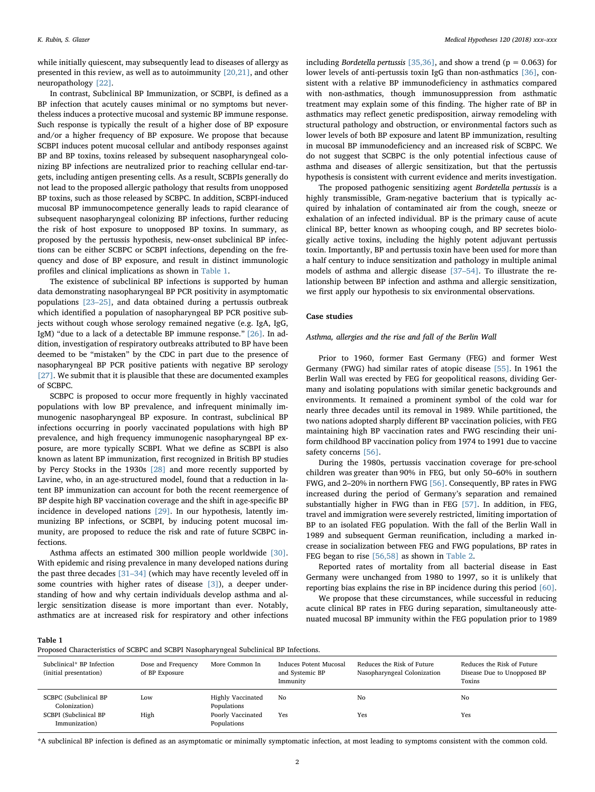while initially quiescent, may subsequently lead to diseases of allergy as presented in this review, as well as to autoimmunity [\[20,21\]](#page-11-10), and other neuropathology [\[22\].](#page-12-0)

In contrast, Subclinical BP Immunization, or SCBPI, is defined as a BP infection that acutely causes minimal or no symptoms but nevertheless induces a protective mucosal and systemic BP immune response. Such response is typically the result of a higher dose of BP exposure and/or a higher frequency of BP exposure. We propose that because SCBPI induces potent mucosal cellular and antibody responses against BP and BP toxins, toxins released by subsequent nasopharyngeal colonizing BP infections are neutralized prior to reaching cellular end-targets, including antigen presenting cells. As a result, SCBPIs generally do not lead to the proposed allergic pathology that results from unopposed BP toxins, such as those released by SCBPC. In addition, SCBPI-induced mucosal BP immunocompetence generally leads to rapid clearance of subsequent nasopharyngeal colonizing BP infections, further reducing the risk of host exposure to unopposed BP toxins. In summary, as proposed by the pertussis hypothesis, new-onset subclinical BP infections can be either SCBPC or SCBPI infections, depending on the frequency and dose of BP exposure, and result in distinct immunologic profiles and clinical implications as shown in [Table 1](#page-1-0).

The existence of subclinical BP infections is supported by human data demonstrating nasopharyngeal BP PCR positivity in asymptomatic populations [\[23](#page-12-1)–25], and data obtained during a pertussis outbreak which identified a population of nasopharyngeal BP PCR positive subjects without cough whose serology remained negative (e.g. IgA, IgG, IgM) "due to a lack of a detectable BP immune response." [\[26\].](#page-12-2) In addition, investigation of respiratory outbreaks attributed to BP have been deemed to be "mistaken" by the CDC in part due to the presence of nasopharyngeal BP PCR positive patients with negative BP serology [\[27\]](#page-12-3). We submit that it is plausible that these are documented examples of SCBPC.

SCBPC is proposed to occur more frequently in highly vaccinated populations with low BP prevalence, and infrequent minimally immunogenic nasopharyngeal BP exposure. In contrast, subclinical BP infections occurring in poorly vaccinated populations with high BP prevalence, and high frequency immunogenic nasopharyngeal BP exposure, are more typically SCBPI. What we define as SCBPI is also known as latent BP immunization, first recognized in British BP studies by Percy Stocks in the 1930s [\[28\]](#page-12-4) and more recently supported by Lavine, who, in an age-structured model, found that a reduction in latent BP immunization can account for both the recent reemergence of BP despite high BP vaccination coverage and the shift in age-specific BP incidence in developed nations [\[29\]](#page-12-5). In our hypothesis, latently immunizing BP infections, or SCBPI, by inducing potent mucosal immunity, are proposed to reduce the risk and rate of future SCBPC infections.

Asthma affects an estimated 300 million people worldwide [\[30\]](#page-12-6). With epidemic and rising prevalence in many developed nations during the past three decades [31–[34\]](#page-12-7) (which may have recently leveled off in some countries with higher rates of disease [\[3\]\)](#page-11-11), a deeper understanding of how and why certain individuals develop asthma and allergic sensitization disease is more important than ever. Notably, asthmatics are at increased risk for respiratory and other infections

including Bordetella pertussis [\[35,36\]](#page-12-8), and show a trend ( $p = 0.063$ ) for lower levels of anti-pertussis toxin IgG than non-asthmatics [\[36\],](#page-12-9) consistent with a relative BP immunodeficiency in asthmatics compared with non-asthmatics, though immunosuppression from asthmatic treatment may explain some of this finding. The higher rate of BP in asthmatics may reflect genetic predisposition, airway remodeling with structural pathology and obstruction, or environmental factors such as lower levels of both BP exposure and latent BP immunization, resulting in mucosal BP immunodeficiency and an increased risk of SCBPC. We do not suggest that SCBPC is the only potential infectious cause of asthma and diseases of allergic sensitization, but that the pertussis hypothesis is consistent with current evidence and merits investigation.

The proposed pathogenic sensitizing agent Bordetella pertussis is a highly transmissible, Gram-negative bacterium that is typically acquired by inhalation of contaminated air from the cough, sneeze or exhalation of an infected individual. BP is the primary cause of acute clinical BP, better known as whooping cough, and BP secretes biologically active toxins, including the highly potent adjuvant pertussis toxin. Importantly, BP and pertussis toxin have been used for more than a half century to induce sensitization and pathology in multiple animal models of asthma and allergic disease [37–[54\]](#page-12-10). To illustrate the relationship between BP infection and asthma and allergic sensitization, we first apply our hypothesis to six environmental observations.

#### Case studies

#### Asthma, allergies and the rise and fall of the Berlin Wall

Prior to 1960, former East Germany (FEG) and former West Germany (FWG) had similar rates of atopic disease [\[55\]](#page-12-11). In 1961 the Berlin Wall was erected by FEG for geopolitical reasons, dividing Germany and isolating populations with similar genetic backgrounds and environments. It remained a prominent symbol of the cold war for nearly three decades until its removal in 1989. While partitioned, the two nations adopted sharply different BP vaccination policies, with FEG maintaining high BP vaccination rates and FWG rescinding their uniform childhood BP vaccination policy from 1974 to 1991 due to vaccine safety concerns [\[56\]](#page-12-12).

During the 1980s, pertussis vaccination coverage for pre-school children was greater than 90% in FEG, but only 50–60% in southern FWG, and 2–20% in northern FWG [\[56\].](#page-12-12) Consequently, BP rates in FWG increased during the period of Germany's separation and remained substantially higher in FWG than in FEG [\[57\].](#page-12-13) In addition, in FEG, travel and immigration were severely restricted, limiting importation of BP to an isolated FEG population. With the fall of the Berlin Wall in 1989 and subsequent German reunification, including a marked increase in socialization between FEG and FWG populations, BP rates in FEG began to rise [\[56,58\]](#page-12-12) as shown in [Table 2.](#page-2-0)

Reported rates of mortality from all bacterial disease in East Germany were unchanged from 1980 to 1997, so it is unlikely that reporting bias explains the rise in BP incidence during this period [\[60\]](#page-12-14).

We propose that these circumstances, while successful in reducing acute clinical BP rates in FEG during separation, simultaneously attenuated mucosal BP immunity within the FEG population prior to 1989

#### <span id="page-1-0"></span>Table 1

Proposed Characteristics of SCBPC and SCBPI Nasopharyngeal Subclinical BP Infections.

| Subclinical* BP Infection<br>(initial presentation) | Dose and Frequency<br>of BP Exposure | More Common In                          | <b>Induces Potent Mucosal</b><br>and Systemic BP<br>Immunity | Reduces the Risk of Future<br>Nasopharyngeal Colonization | Reduces the Risk of Future<br>Disease Due to Unopposed BP<br>Toxins |
|-----------------------------------------------------|--------------------------------------|-----------------------------------------|--------------------------------------------------------------|-----------------------------------------------------------|---------------------------------------------------------------------|
| SCBPC (Subclinical BP<br>Colonization)              | Low                                  | <b>Highly Vaccinated</b><br>Populations | No                                                           | No                                                        | No                                                                  |
| SCBPI (Subclinical BP<br>Immunization)              | High                                 | Poorly Vaccinated<br>Populations        | Yes                                                          | Yes                                                       | Yes                                                                 |

\*A subclinical BP infection is defined as an asymptomatic or minimally symptomatic infection, at most leading to symptoms consistent with the common cold.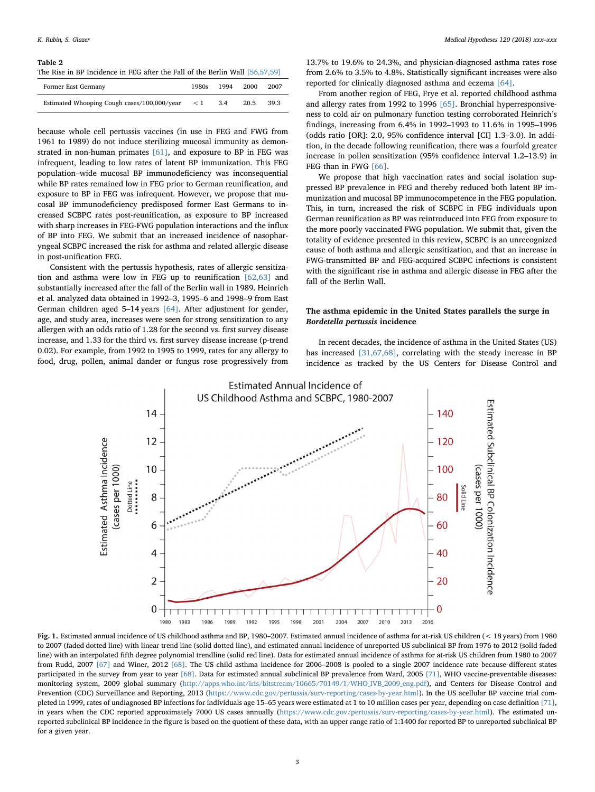#### <span id="page-2-0"></span>Table 2

The Rise in BP Incidence in FEG after the Fall of the Berlin Wall [\[56,57,59\]](#page-12-12)

| Former East Germany                         | 1980s    | 1994 | 2000 | 2007 |
|---------------------------------------------|----------|------|------|------|
| Estimated Whooping Cough cases/100,000/year | $\leq 1$ | 3.4  | 20.5 | 39.3 |

because whole cell pertussis vaccines (in use in FEG and FWG from 1961 to 1989) do not induce sterilizing mucosal immunity as demonstrated in non-human primates [\[61\]](#page-12-15), and exposure to BP in FEG was infrequent, leading to low rates of latent BP immunization. This FEG population–wide mucosal BP immunodeficiency was inconsequential while BP rates remained low in FEG prior to German reunification, and exposure to BP in FEG was infrequent. However, we propose that mucosal BP immunodeficiency predisposed former East Germans to increased SCBPC rates post-reunification, as exposure to BP increased with sharp increases in FEG-FWG population interactions and the influx of BP into FEG. We submit that an increased incidence of nasopharyngeal SCBPC increased the risk for asthma and related allergic disease in post-unification FEG.

Consistent with the pertussis hypothesis, rates of allergic sensitization and asthma were low in FEG up to reunification [\[62,63\]](#page-12-16) and substantially increased after the fall of the Berlin wall in 1989. Heinrich et al. analyzed data obtained in 1992–3, 1995–6 and 1998–9 from East German children aged 5–14 years [\[64\].](#page-12-17) After adjustment for gender, age, and study area, increases were seen for strong sensitization to any allergen with an odds ratio of 1.28 for the second vs. first survey disease increase, and 1.33 for the third vs. first survey disease increase (p-trend 0.02). For example, from 1992 to 1995 to 1999, rates for any allergy to food, drug, pollen, animal dander or fungus rose progressively from

13.7% to 19.6% to 24.3%, and physician-diagnosed asthma rates rose from 2.6% to 3.5% to 4.8%. Statistically significant increases were also reported for clinically diagnosed asthma and eczema [\[64\]](#page-12-17).

From another region of FEG, Frye et al. reported childhood asthma and allergy rates from 1992 to 1996 [\[65\].](#page-12-18) Bronchial hyperresponsiveness to cold air on pulmonary function testing corroborated Heinrich's findings, increasing from 6.4% in 1992–1993 to 11.6% in 1995–1996 (odds ratio [OR]: 2.0, 95% confidence interval [CI] 1.3–3.0). In addition, in the decade following reunification, there was a fourfold greater increase in pollen sensitization (95% confidence interval 1.2–13.9) in FEG than in FWG [\[66\]](#page-12-19).

We propose that high vaccination rates and social isolation suppressed BP prevalence in FEG and thereby reduced both latent BP immunization and mucosal BP immunocompetence in the FEG population. This, in turn, increased the risk of SCBPC in FEG individuals upon German reunification as BP was reintroduced into FEG from exposure to the more poorly vaccinated FWG population. We submit that, given the totality of evidence presented in this review, SCBPC is an unrecognized cause of both asthma and allergic sensitization, and that an increase in FWG-transmitted BP and FEG-acquired SCBPC infections is consistent with the significant rise in asthma and allergic disease in FEG after the fall of the Berlin Wall.

# The asthma epidemic in the United States parallels the surge in Bordetella pertussis incidence

In recent decades, the incidence of asthma in the United States (US) has increased [\[31,67,68\]](#page-12-7), correlating with the steady increase in BP incidence as tracked by the US Centers for Disease Control and

<span id="page-2-1"></span>

Fig. 1. Estimated annual incidence of US childhood asthma and BP, 1980–2007. Estimated annual incidence of asthma for at-risk US children (< 18 years) from 1980 to 2007 (faded dotted line) with linear trend line (solid dotted line), and estimated annual incidence of unreported US subclinical BP from 1976 to 2012 (solid faded line) with an interpolated fifth degree polynomial trendline (solid red line). Data for estimated annual incidence of asthma for at-risk US children from 1980 to 2007 from Rudd, 2007 [\[67\]](#page-12-20) and Winer, 2012 [\[68\]](#page-12-21). The US child asthma incidence for 2006–2008 is pooled to a single 2007 incidence rate because different states participated in the survey from year to year [\[68\].](#page-12-21) Data for estimated annual subclinical BP prevalence from Ward, 2005 [\[71\]](#page-12-22), WHO vaccine-preventable diseases: monitoring system, 2009 global summary ([http://apps.who.int/iris/bitstream/10665/70149/1/WHO\\_IVB\\_2009\\_eng.pdf](http://apps.who.int/iris/bitstream/10665/70149/1/WHO_IVB_2009_eng.pdf)), and Centers for Disease Control and Prevention (CDC) Surveillance and Reporting, 2013 (<https://www.cdc.gov/pertussis/surv-reporting/cases-by-year.html>). In the US acellular BP vaccine trial com-pleted in 1999, rates of undiagnosed BP infections for individuals age 15-65 years were estimated at 1 to 10 million cases per year, depending on case definition [\[71\],](#page-12-22) in years when the CDC reported approximately 7000 US cases annually [\(https://www.cdc.gov/pertussis/surv-reporting/cases-by-year.html\)](https://www.cdc.gov/pertussis/surv-reporting/cases-by-year.html). The estimated unreported subclinical BP incidence in the figure is based on the quotient of these data, with an upper range ratio of 1:1400 for reported BP to unreported subclinical BP for a given year.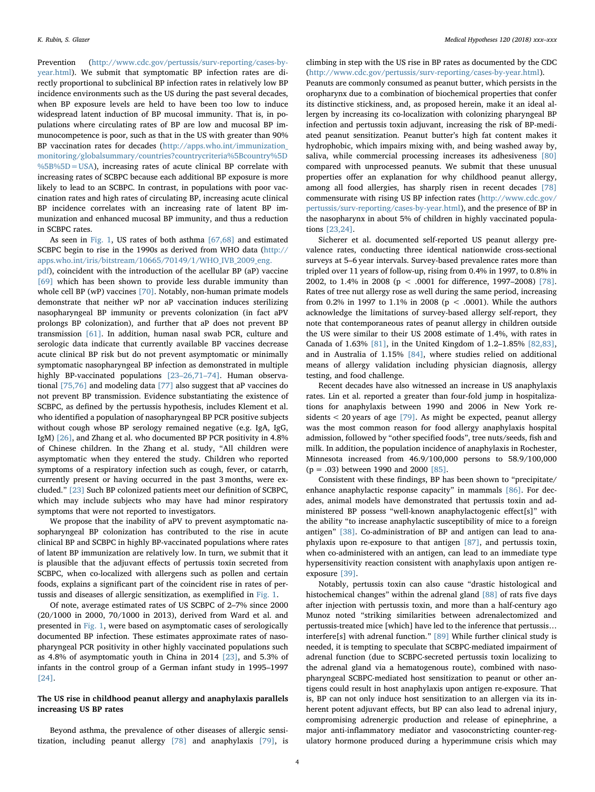Prevention ([http://www.cdc.gov/pertussis/surv-reporting/cases-by](http://www.cdc.gov/pertussis/surv-reporting/cases-by-year.html)[year.html\)](http://www.cdc.gov/pertussis/surv-reporting/cases-by-year.html). We submit that symptomatic BP infection rates are directly proportional to subclinical BP infection rates in relatively low BP incidence environments such as the US during the past several decades, when BP exposure levels are held to have been too low to induce widespread latent induction of BP mucosal immunity. That is, in populations where circulating rates of BP are low and mucosal BP immunocompetence is poor, such as that in the US with greater than 90% BP vaccination rates for decades [\(http://apps.who.int/immunization\\_](http://apps.who.int/immunization_monitoring/globalsummary/countries?countrycriteria%5Bcountry%5D%5B%5D=USA) [monitoring/globalsummary/countries?countrycriteria%5Bcountry%5D](http://apps.who.int/immunization_monitoring/globalsummary/countries?countrycriteria%5Bcountry%5D%5B%5D=USA)  $\%5B\%5D=USA$ ), increasing rates of acute clinical BP correlate with increasing rates of SCBPC because each additional BP exposure is more likely to lead to an SCBPC. In contrast, in populations with poor vaccination rates and high rates of circulating BP, increasing acute clinical BP incidence correlates with an increasing rate of latent BP immunization and enhanced mucosal BP immunity, and thus a reduction in SCBPC rates.

As seen in [Fig. 1,](#page-2-1) US rates of both asthma [\[67,68\]](#page-12-20) and estimated SCBPC begin to rise in the 1990s as derived from WHO data [\(http://](http://apps.who.int/iris/bitstream/10665/70149/1/WHO_IVB_2009_eng.pdf) [apps.who.int/iris/bitstream/10665/70149/1/WHO\\_IVB\\_2009\\_eng.](http://apps.who.int/iris/bitstream/10665/70149/1/WHO_IVB_2009_eng.pdf) [pdf](http://apps.who.int/iris/bitstream/10665/70149/1/WHO_IVB_2009_eng.pdf)), coincident with the introduction of the acellular BP (aP) vaccine [\[69\]](#page-12-23) which has been shown to provide less durable immunity than whole cell BP (wP) vaccines [\[70\]](#page-12-24). Notably, non-human primate models demonstrate that neither wP nor aP vaccination induces sterilizing nasopharyngeal BP immunity or prevents colonization (in fact aPV prolongs BP colonization), and further that aP does not prevent BP transmission [\[61\].](#page-12-15) In addition, human nasal swab PCR, culture and serologic data indicate that currently available BP vaccines decrease acute clinical BP risk but do not prevent asymptomatic or minimally symptomatic nasopharyngeal BP infection as demonstrated in multiple highly BP-vaccinated populations [23–[26,71](#page-12-1)–74]. Human observational [\[75,76\]](#page-12-25) and modeling data [\[77\]](#page-12-26) also suggest that aP vaccines do not prevent BP transmission. Evidence substantiating the existence of SCBPC, as defined by the pertussis hypothesis, includes Klement et al. who identified a population of nasopharyngeal BP PCR positive subjects without cough whose BP serology remained negative (e.g. IgA, IgG, IgM) [\[26\]](#page-12-2), and Zhang et al. who documented BP PCR positivity in 4.8% of Chinese children. In the Zhang et al. study, "All children were asymptomatic when they entered the study. Children who reported symptoms of a respiratory infection such as cough, fever, or catarrh, currently present or having occurred in the past 3 months, were excluded." [\[23\]](#page-12-1) Such BP colonized patients meet our definition of SCBPC, which may include subjects who may have had minor respiratory symptoms that were not reported to investigators.

We propose that the inability of aPV to prevent asymptomatic nasopharyngeal BP colonization has contributed to the rise in acute clinical BP and SCBPC in highly BP-vaccinated populations where rates of latent BP immunization are relatively low. In turn, we submit that it is plausible that the adjuvant effects of pertussis toxin secreted from SCBPC, when co-localized with allergens such as pollen and certain foods, explains a significant part of the coincident rise in rates of pertussis and diseases of allergic sensitization, as exemplified in [Fig. 1](#page-2-1).

Of note, average estimated rates of US SCBPC of 2–7% since 2000 (20/1000 in 2000, 70/1000 in 2013), derived from Ward et al. and presented in [Fig.](#page-2-1) 1, were based on asymptomatic cases of serologically documented BP infection. These estimates approximate rates of nasopharyngeal PCR positivity in other highly vaccinated populations such as 4.8% of asymptomatic youth in China in 2014 [\[23\]](#page-12-1), and 5.3% of infants in the control group of a German infant study in 1995–1997 [\[24\]](#page-12-27).

## The US rise in childhood peanut allergy and anaphylaxis parallels increasing US BP rates

Beyond asthma, the prevalence of other diseases of allergic sensitization, including peanut allergy [\[78\]](#page-12-28) and anaphylaxis [\[79\]](#page-12-29), is climbing in step with the US rise in BP rates as documented by the CDC (<http://www.cdc.gov/pertussis/surv-reporting/cases-by-year.html>).

Peanuts are commonly consumed as peanut butter, which persists in the oropharynx due to a combination of biochemical properties that confer its distinctive stickiness, and, as proposed herein, make it an ideal allergen by increasing its co-localization with colonizing pharyngeal BP infection and pertussis toxin adjuvant, increasing the risk of BP-mediated peanut sensitization. Peanut butter's high fat content makes it hydrophobic, which impairs mixing with, and being washed away by, saliva, while commercial processing increases its adhesiveness [\[80\]](#page-12-30) compared with unprocessed peanuts. We submit that these unusual properties offer an explanation for why childhood peanut allergy, among all food allergies, has sharply risen in recent decades [\[78\]](#page-12-28) commensurate with rising US BP infection rates [\(http://www.cdc.gov/](http://www.cdc.gov/pertussis/surv-reporting/cases-by-year.html) [pertussis/surv-reporting/cases-by-year.html](http://www.cdc.gov/pertussis/surv-reporting/cases-by-year.html)), and the presence of BP in the nasopharynx in about 5% of children in highly vaccinated populations [\[23,24\]](#page-12-1).

Sicherer et al. documented self-reported US peanut allergy prevalence rates, conducting three identical nationwide cross-sectional surveys at 5–6 year intervals. Survey-based prevalence rates more than tripled over 11 years of follow-up, rising from 0.4% in 1997, to 0.8% in 2002, to 1.4% in 2008 (p < .0001 for difference, 1997–2008) [\[78\]](#page-12-28). Rates of tree nut allergy rose as well during the same period, increasing from 0.2% in 1997 to 1.1% in 2008 (p < .0001). While the authors acknowledge the limitations of survey-based allergy self-report, they note that contemporaneous rates of peanut allergy in children outside the US were similar to their US 2008 estimate of 1.4%, with rates in Canada of 1.63% [\[81\],](#page-12-31) in the United Kingdom of 1.2–1.85% [\[82,83\]](#page-12-32), and in Australia of 1.15% [\[84\],](#page-12-33) where studies relied on additional means of allergy validation including physician diagnosis, allergy testing, and food challenge.

Recent decades have also witnessed an increase in US anaphylaxis rates. Lin et al. reported a greater than four-fold jump in hospitalizations for anaphylaxis between 1990 and 2006 in New York residents  $<$  20 years of age [\[79\]](#page-12-29). As might be expected, peanut allergy was the most common reason for food allergy anaphylaxis hospital admission, followed by "other specified foods", tree nuts/seeds, fish and milk. In addition, the population incidence of anaphylaxis in Rochester, Minnesota increased from 46.9/100,000 persons to 58.9/100,000  $(p = .03)$  between 1990 and 2000 [\[85\].](#page-12-34)

Consistent with these findings, BP has been shown to "precipitate/ enhance anaphylactic response capacity" in mammals [\[86\].](#page-12-35) For decades, animal models have demonstrated that pertussis toxin and administered BP possess "well-known anaphylactogenic effect[s]" with the ability "to increase anaphylactic susceptibility of mice to a foreign antigen" [\[38\].](#page-12-36) Co-administration of BP and antigen can lead to anaphylaxis upon re-exposure to that antigen [\[87\]](#page-12-37), and pertussis toxin, when co-administered with an antigen, can lead to an immediate type hypersensitivity reaction consistent with anaphylaxis upon antigen reexposure [\[39\]](#page-12-38).

Notably, pertussis toxin can also cause "drastic histological and histochemical changes" within the adrenal gland [\[88\]](#page-12-39) of rats five days after injection with pertussis toxin, and more than a half-century ago Munoz noted "striking similarities between adrenalectomized and pertussis-treated mice [which] have led to the inference that pertussis… interfere[s] with adrenal function." [\[89\]](#page-13-0) While further clinical study is needed, it is tempting to speculate that SCBPC-mediated impairment of adrenal function (due to SCBPC-secreted pertussis toxin localizing to the adrenal gland via a hematogenous route), combined with nasopharyngeal SCBPC-mediated host sensitization to peanut or other antigens could result in host anaphylaxis upon antigen re-exposure. That is, BP can not only induce host sensitization to an allergen via its inherent potent adjuvant effects, but BP can also lead to adrenal injury, compromising adrenergic production and release of epinephrine, a major anti-inflammatory mediator and vasoconstricting counter-regulatory hormone produced during a hyperimmune crisis which may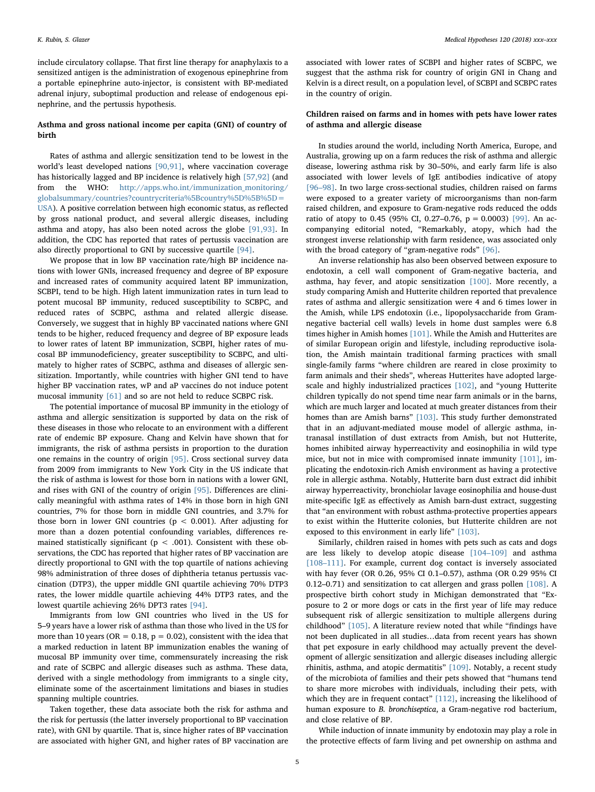include circulatory collapse. That first line therapy for anaphylaxis to a sensitized antigen is the administration of exogenous epinephrine from a portable epinephrine auto-injector, is consistent with BP-mediated adrenal injury, suboptimal production and release of endogenous epinephrine, and the pertussis hypothesis.

# Asthma and gross national income per capita (GNI) of country of birth

Rates of asthma and allergic sensitization tend to be lowest in the world's least developed nations [\[90,91\]](#page-13-1), where vaccination coverage has historically lagged and BP incidence is relatively high [\[57,92\]](#page-12-13) (and from the WHO: [http://apps.who.int/immunization\\_monitoring/](http://apps.who.int/immunization_monitoring/globalsummary/countries?countrycriteria%5Bcountry%5D%5B%5D=USA) [globalsummary/countries?countrycriteria%5Bcountry%5D%5B%5D=](http://apps.who.int/immunization_monitoring/globalsummary/countries?countrycriteria%5Bcountry%5D%5B%5D=USA) [USA\)](http://apps.who.int/immunization_monitoring/globalsummary/countries?countrycriteria%5Bcountry%5D%5B%5D=USA). A positive correlation between high economic status, as reflected by gross national product, and several allergic diseases, including asthma and atopy, has also been noted across the globe [\[91,93\].](#page-13-2) In addition, the CDC has reported that rates of pertussis vaccination are also directly proportional to GNI by successive quartile [\[94\].](#page-13-3)

We propose that in low BP vaccination rate/high BP incidence nations with lower GNIs, increased frequency and degree of BP exposure and increased rates of community acquired latent BP immunization, SCBPI, tend to be high. High latent immunization rates in turn lead to potent mucosal BP immunity, reduced susceptibility to SCBPC, and reduced rates of SCBPC, asthma and related allergic disease. Conversely, we suggest that in highly BP vaccinated nations where GNI tends to be higher, reduced frequency and degree of BP exposure leads to lower rates of latent BP immunization, SCBPI, higher rates of mucosal BP immunodeficiency, greater susceptibility to SCBPC, and ultimately to higher rates of SCBPC, asthma and diseases of allergic sensitization. Importantly, while countries with higher GNI tend to have higher BP vaccination rates, wP and aP vaccines do not induce potent mucosal immunity [\[61\]](#page-12-15) and so are not held to reduce SCBPC risk.

The potential importance of mucosal BP immunity in the etiology of asthma and allergic sensitization is supported by data on the risk of these diseases in those who relocate to an environment with a different rate of endemic BP exposure. Chang and Kelvin have shown that for immigrants, the risk of asthma persists in proportion to the duration one remains in the country of origin [\[95\].](#page-13-4) Cross sectional survey data from 2009 from immigrants to New York City in the US indicate that the risk of asthma is lowest for those born in nations with a lower GNI, and rises with GNI of the country of origin [\[95\].](#page-13-4) Differences are clinically meaningful with asthma rates of 14% in those born in high GNI countries, 7% for those born in middle GNI countries, and 3.7% for those born in lower GNI countries ( $p < 0.001$ ). After adjusting for more than a dozen potential confounding variables, differences remained statistically significant ( $p < .001$ ). Consistent with these observations, the CDC has reported that higher rates of BP vaccination are directly proportional to GNI with the top quartile of nations achieving 98% administration of three doses of diphtheria tetanus pertussis vaccination (DTP3), the upper middle GNI quartile achieving 70% DTP3 rates, the lower middle quartile achieving 44% DTP3 rates, and the lowest quartile achieving 26% DPT3 rates [\[94\].](#page-13-3)

Immigrants from low GNI countries who lived in the US for 5–9 years have a lower risk of asthma than those who lived in the US for more than 10 years (OR =  $0.18$ , p =  $0.02$ ), consistent with the idea that a marked reduction in latent BP immunization enables the waning of mucosal BP immunity over time, commensurately increasing the risk and rate of SCBPC and allergic diseases such as asthma. These data, derived with a single methodology from immigrants to a single city, eliminate some of the ascertainment limitations and biases in studies spanning multiple countries.

Taken together, these data associate both the risk for asthma and the risk for pertussis (the latter inversely proportional to BP vaccination rate), with GNI by quartile. That is, since higher rates of BP vaccination are associated with higher GNI, and higher rates of BP vaccination are associated with lower rates of SCBPI and higher rates of SCBPC, we suggest that the asthma risk for country of origin GNI in Chang and Kelvin is a direct result, on a population level, of SCBPI and SCBPC rates in the country of origin.

### Children raised on farms and in homes with pets have lower rates of asthma and allergic disease

In studies around the world, including North America, Europe, and Australia, growing up on a farm reduces the risk of asthma and allergic disease, lowering asthma risk by 30–50%, and early farm life is also associated with lower levels of IgE antibodies indicative of atopy [96–[98\]](#page-13-5). In two large cross-sectional studies, children raised on farms were exposed to a greater variety of microorganisms than non-farm raised children, and exposure to Gram-negative rods reduced the odds ratio of atopy to 0.45 (95% CI, 0.27–0.76,  $p = 0.0003$ ) [\[99\]](#page-13-6). An accompanying editorial noted, "Remarkably, atopy, which had the strongest inverse relationship with farm residence, was associated only with the broad category of "gram-negative rods" [\[96\].](#page-13-5)

An inverse relationship has also been observed between exposure to endotoxin, a cell wall component of Gram-negative bacteria, and asthma, hay fever, and atopic sensitization [\[100\]](#page-13-7). More recently, a study comparing Amish and Hutterite children reported that prevalence rates of asthma and allergic sensitization were 4 and 6 times lower in the Amish, while LPS endotoxin (i.e., lipopolysaccharide from Gramnegative bacterial cell walls) levels in home dust samples were 6.8 times higher in Amish homes [\[101\]](#page-13-8). While the Amish and Hutterites are of similar European origin and lifestyle, including reproductive isolation, the Amish maintain traditional farming practices with small single-family farms "where children are reared in close proximity to farm animals and their sheds", whereas Hutterites have adopted largescale and highly industrialized practices [\[102\]](#page-13-9), and "young Hutterite children typically do not spend time near farm animals or in the barns, which are much larger and located at much greater distances from their homes than are Amish barns" [\[103\].](#page-13-10) This study further demonstrated that in an adjuvant-mediated mouse model of allergic asthma, intranasal instillation of dust extracts from Amish, but not Hutterite, homes inhibited airway hyperreactivity and eosinophilia in wild type mice, but not in mice with compromised innate immunity [\[101\],](#page-13-8) implicating the endotoxin-rich Amish environment as having a protective role in allergic asthma. Notably, Hutterite barn dust extract did inhibit airway hyperreactivity, bronchiolar lavage eosinophilia and house-dust mite-specific IgE as effectively as Amish barn-dust extract, suggesting that "an environment with robust asthma-protective properties appears to exist within the Hutterite colonies, but Hutterite children are not exposed to this environment in early life" [\[103\]](#page-13-10).

Similarly, children raised in homes with pets such as cats and dogs are less likely to develop atopic disease [\[104](#page-13-11)–109] and asthma [108–[111\]](#page-13-12). For example, current dog contact is inversely associated with hay fever (OR 0.26, 95% CI 0.1–0.57), asthma (OR 0.29 95% CI 0.12–0.71) and sensitization to cat allergen and grass pollen [\[108\]](#page-13-12). A prospective birth cohort study in Michigan demonstrated that "Exposure to 2 or more dogs or cats in the first year of life may reduce subsequent risk of allergic sensitization to multiple allergens during childhood" [\[105\].](#page-13-13) A literature review noted that while "findings have not been duplicated in all studies…data from recent years has shown that pet exposure in early childhood may actually prevent the development of allergic sensitization and allergic diseases including allergic rhinitis, asthma, and atopic dermatitis" [\[109\].](#page-13-14) Notably, a recent study of the microbiota of families and their pets showed that "humans tend to share more microbes with individuals, including their pets, with which they are in frequent contact" [\[112\],](#page-13-15) increasing the likelihood of human exposure to B. bronchiseptica, a Gram-negative rod bacterium, and close relative of BP.

While induction of innate immunity by endotoxin may play a role in the protective effects of farm living and pet ownership on asthma and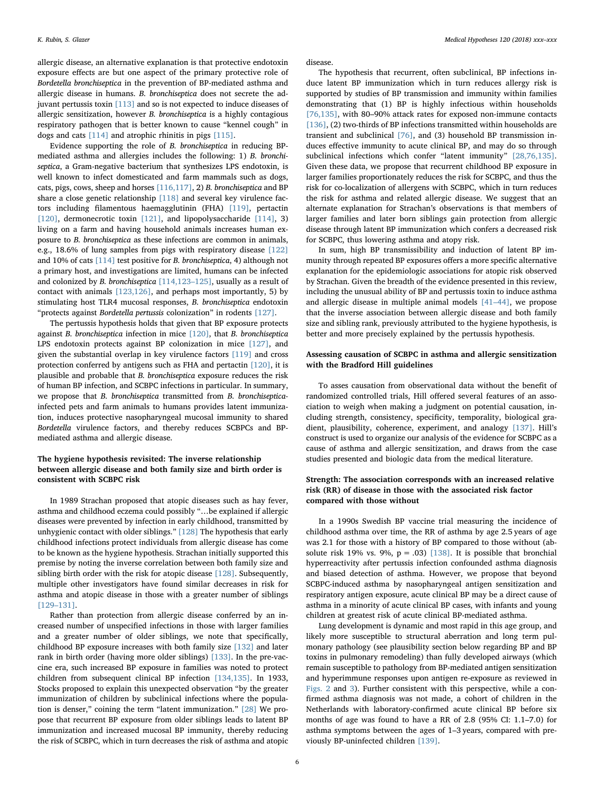allergic disease, an alternative explanation is that protective endotoxin exposure effects are but one aspect of the primary protective role of Bordetella bronchiseptica in the prevention of BP-mediated asthma and allergic disease in humans. B. bronchiseptica does not secrete the adjuvant pertussis toxin [\[113\]](#page-13-16) and so is not expected to induce diseases of allergic sensitization, however B. bronchiseptica is a highly contagious respiratory pathogen that is better known to cause "kennel cough" in dogs and cats [\[114\]](#page-13-17) and atrophic rhinitis in pigs [\[115\].](#page-13-18)

Evidence supporting the role of B. bronchiseptica in reducing BPmediated asthma and allergies includes the following: 1) B. bronchiseptica, a Gram-negative bacterium that synthesizes LPS endotoxin, is well known to infect domesticated and farm mammals such as dogs, cats, pigs, cows, sheep and horses [\[116,117\]](#page-13-19), 2) B. bronchiseptica and BP share a close genetic relationship [\[118\]](#page-13-20) and several key virulence factors including filamentous haemagglutinin (FHA) [\[119\]](#page-13-21), pertactin [\[120\],](#page-13-22) dermonecrotic toxin [\[121\]](#page-13-23), and lipopolysaccharide [\[114\],](#page-13-17) 3) living on a farm and having household animals increases human exposure to B. bronchiseptica as these infections are common in animals, e.g., 18.6% of lung samples from pigs with respiratory disease [\[122\]](#page-13-24) and 10% of cats [\[114\]](#page-13-17) test positive for B. bronchiseptica, 4) although not a primary host, and investigations are limited, humans can be infected and colonized by B. bronchiseptica [\[114,123](#page-13-17)–125], usually as a result of contact with animals [\[123,126\]](#page-13-25), and perhaps most importantly, 5) by stimulating host TLR4 mucosal responses, B. bronchiseptica endotoxin "protects against Bordetella pertussis colonization" in rodents [\[127\]](#page-13-26).

The pertussis hypothesis holds that given that BP exposure protects against B. bronchiseptica infection in mice [\[120\]](#page-13-22), that B. bronchiseptica LPS endotoxin protects against BP colonization in mice [\[127\]](#page-13-26), and given the substantial overlap in key virulence factors [\[119\]](#page-13-21) and cross protection conferred by antigens such as FHA and pertactin [\[120\],](#page-13-22) it is plausible and probable that B. bronchiseptica exposure reduces the risk of human BP infection, and SCBPC infections in particular. In summary, we propose that B. bronchiseptica transmitted from B. bronchisepticainfected pets and farm animals to humans provides latent immunization, induces protective nasopharyngeal mucosal immunity to shared Bordetella virulence factors, and thereby reduces SCBPCs and BPmediated asthma and allergic disease.

# The hygiene hypothesis revisited: The inverse relationship between allergic disease and both family size and birth order is consistent with SCBPC risk

In 1989 Strachan proposed that atopic diseases such as hay fever, asthma and childhood eczema could possibly "…be explained if allergic diseases were prevented by infection in early childhood, transmitted by unhygienic contact with older siblings." [\[128\]](#page-13-27) The hypothesis that early childhood infections protect individuals from allergic disease has come to be known as the hygiene hypothesis. Strachan initially supported this premise by noting the inverse correlation between both family size and sibling birth order with the risk for atopic disease [\[128\]](#page-13-27). Subsequently, multiple other investigators have found similar decreases in risk for asthma and atopic disease in those with a greater number of siblings [129–[131\]](#page-13-28).

Rather than protection from allergic disease conferred by an increased number of unspecified infections in those with larger families and a greater number of older siblings, we note that specifically, childhood BP exposure increases with both family size [\[132\]](#page-13-29) and later rank in birth order (having more older siblings) [\[133\]](#page-13-30). In the pre-vaccine era, such increased BP exposure in families was noted to protect children from subsequent clinical BP infection [\[134,135\].](#page-13-31) In 1933, Stocks proposed to explain this unexpected observation "by the greater immunization of children by subclinical infections where the population is denser," coining the term "latent immunization." [\[28\]](#page-12-4) We propose that recurrent BP exposure from older siblings leads to latent BP immunization and increased mucosal BP immunity, thereby reducing the risk of SCBPC, which in turn decreases the risk of asthma and atopic disease.

The hypothesis that recurrent, often subclinical, BP infections induce latent BP immunization which in turn reduces allergy risk is supported by studies of BP transmission and immunity within families demonstrating that (1) BP is highly infectious within households [\[76,135\]](#page-12-40), with 80–90% attack rates for exposed non-immune contacts [\[136\],](#page-13-32) (2) two-thirds of BP infections transmitted within households are transient and subclinical [\[76\],](#page-12-40) and (3) household BP transmission induces effective immunity to acute clinical BP, and may do so through subclinical infections which confer "latent immunity" [\[28,76,135\]](#page-12-4). Given these data, we propose that recurrent childhood BP exposure in larger families proportionately reduces the risk for SCBPC, and thus the risk for co-localization of allergens with SCBPC, which in turn reduces the risk for asthma and related allergic disease. We suggest that an alternate explanation for Strachan's observations is that members of larger families and later born siblings gain protection from allergic disease through latent BP immunization which confers a decreased risk for SCBPC, thus lowering asthma and atopy risk.

In sum, high BP transmissibility and induction of latent BP immunity through repeated BP exposures offers a more specific alternative explanation for the epidemiologic associations for atopic risk observed by Strachan. Given the breadth of the evidence presented in this review, including the unusual ability of BP and pertussis toxin to induce asthma and allergic disease in multiple animal models [41–[44\]](#page-12-41), we propose that the inverse association between allergic disease and both family size and sibling rank, previously attributed to the hygiene hypothesis, is better and more precisely explained by the pertussis hypothesis.

# Assessing causation of SCBPC in asthma and allergic sensitization with the Bradford Hill guidelines

To asses causation from observational data without the benefit of randomized controlled trials, Hill offered several features of an association to weigh when making a judgment on potential causation, including strength, consistency, specificity, temporality, biological gradient, plausibility, coherence, experiment, and analogy [\[137\]](#page-13-33). Hill's construct is used to organize our analysis of the evidence for SCBPC as a cause of asthma and allergic sensitization, and draws from the case studies presented and biologic data from the medical literature.

# Strength: The association corresponds with an increased relative risk (RR) of disease in those with the associated risk factor compared with those without

In a 1990s Swedish BP vaccine trial measuring the incidence of childhood asthma over time, the RR of asthma by age 2.5 years of age was 2.1 for those with a history of BP compared to those without (absolute risk 19% vs. 9%,  $p = .03$ ) [\[138\].](#page-13-34) It is possible that bronchial hyperreactivity after pertussis infection confounded asthma diagnosis and biased detection of asthma. However, we propose that beyond SCBPC-induced asthma by nasopharyngeal antigen sensitization and respiratory antigen exposure, acute clinical BP may be a direct cause of asthma in a minority of acute clinical BP cases, with infants and young children at greatest risk of acute clinical BP-mediated asthma.

Lung development is dynamic and most rapid in this age group, and likely more susceptible to structural aberration and long term pulmonary pathology (see plausibility section below regarding BP and BP toxins in pulmonary remodeling) than fully developed airways (which remain susceptible to pathology from BP-mediated antigen sensitization and hyperimmune responses upon antigen re-exposure as reviewed in [Figs. 2](#page-9-0) and [3\)](#page-10-0). Further consistent with this perspective, while a confirmed asthma diagnosis was not made, a cohort of children in the Netherlands with laboratory-confirmed acute clinical BP before six months of age was found to have a RR of 2.8 (95% CI: 1.1–7.0) for asthma symptoms between the ages of 1–3 years, compared with previously BP-uninfected children [\[139\]](#page-13-35).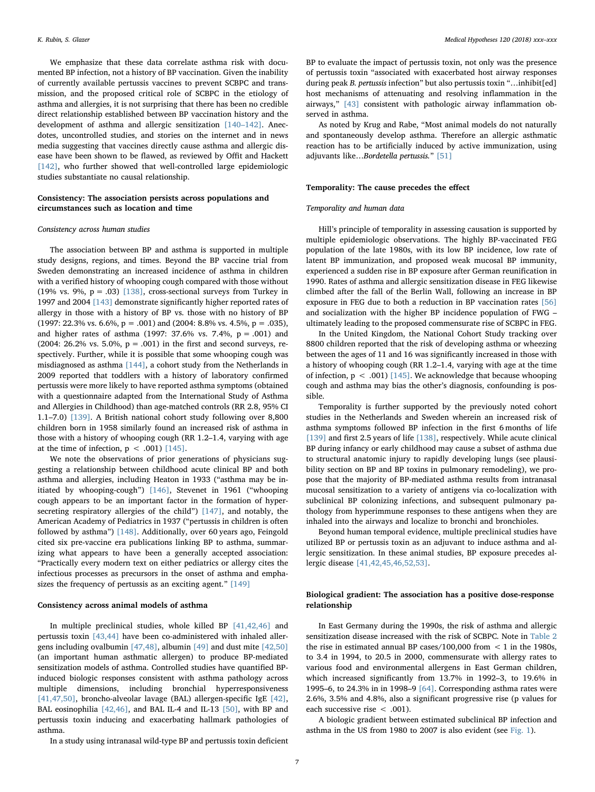We emphasize that these data correlate asthma risk with documented BP infection, not a history of BP vaccination. Given the inability of currently available pertussis vaccines to prevent SCBPC and transmission, and the proposed critical role of SCBPC in the etiology of asthma and allergies, it is not surprising that there has been no credible direct relationship established between BP vaccination history and the development of asthma and allergic sensitization [\[140](#page-13-36)–142]. Anecdotes, uncontrolled studies, and stories on the internet and in news media suggesting that vaccines directly cause asthma and allergic disease have been shown to be flawed, as reviewed by Offit and Hackett [\[142\],](#page-13-37) who further showed that well-controlled large epidemiologic studies substantiate no causal relationship.

# Consistency: The association persists across populations and circumstances such as location and time

#### Consistency across human studies

The association between BP and asthma is supported in multiple study designs, regions, and times. Beyond the BP vaccine trial from Sweden demonstrating an increased incidence of asthma in children with a verified history of whooping cough compared with those without (19% vs. 9%,  $p = .03$ ) [\[138\]](#page-13-34), cross-sectional surveys from Turkey in 1997 and 2004 [\[143\]](#page-13-38) demonstrate significantly higher reported rates of allergy in those with a history of BP vs. those with no history of BP (1997: 22.3% vs. 6.6%,  $p = .001$ ) and (2004: 8.8% vs. 4.5%,  $p = .035$ ), and higher rates of asthma (1997: 37.6% vs. 7.4%,  $p = .001$ ) and (2004: 26.2% vs. 5.0%,  $p = .001$ ) in the first and second surveys, respectively. Further, while it is possible that some whooping cough was misdiagnosed as asthma [\[144\],](#page-13-39) a cohort study from the Netherlands in 2009 reported that toddlers with a history of laboratory confirmed pertussis were more likely to have reported asthma symptoms (obtained with a questionnaire adapted from the International Study of Asthma and Allergies in Childhood) than age-matched controls (RR 2.8, 95% CI 1.1–7.0) [\[139\].](#page-13-35) A British national cohort study following over 8,800 children born in 1958 similarly found an increased risk of asthma in those with a history of whooping cough (RR 1.2–1.4, varying with age at the time of infection,  $p < .001$  [\[145\]](#page-13-40).

We note the observations of prior generations of physicians suggesting a relationship between childhood acute clinical BP and both asthma and allergies, including Heaton in 1933 ("asthma may be initiated by whooping-cough") [\[146\],](#page-13-41) Stevenet in 1961 ("whooping cough appears to be an important factor in the formation of hypersecreting respiratory allergies of the child") [\[147\]](#page-13-42), and notably, the American Academy of Pediatrics in 1937 ("pertussis in children is often followed by asthma") [\[148\]](#page-13-43). Additionally, over 60 years ago, Feingold cited six pre-vaccine era publications linking BP to asthma, summarizing what appears to have been a generally accepted association: "Practically every modern text on either pediatrics or allergy cites the infectious processes as precursors in the onset of asthma and emphasizes the frequency of pertussis as an exciting agent." [\[149\]](#page-13-44)

# Consistency across animal models of asthma

In multiple preclinical studies, whole killed BP [\[41,42,46\]](#page-12-41) and pertussis toxin [\[43,44\]](#page-12-42) have been co-administered with inhaled allergens including ovalbumin [\[47,48\],](#page-12-43) albumin [\[49\]](#page-12-44) and dust mite [\[42,50\]](#page-12-45) (an important human asthmatic allergen) to produce BP-mediated sensitization models of asthma. Controlled studies have quantified BPinduced biologic responses consistent with asthma pathology across multiple dimensions, including bronchial hyperresponsiveness [\[41,47,50\],](#page-12-41) broncho-alveolar lavage (BAL) allergen-specific IgE [\[42\]](#page-12-45), BAL eosinophilia [\[42,46\]](#page-12-45), and BAL IL-4 and IL-13 [\[50\]](#page-12-46), with BP and pertussis toxin inducing and exacerbating hallmark pathologies of asthma.

In a study using intranasal wild-type BP and pertussis toxin deficient

BP to evaluate the impact of pertussis toxin, not only was the presence of pertussis toxin "associated with exacerbated host airway responses during peak B. pertussis infection" but also pertussis toxin "...inhibit[ed] host mechanisms of attenuating and resolving inflammation in the airways," [\[43\]](#page-12-42) consistent with pathologic airway inflammation observed in asthma.

As noted by Krug and Rabe, "Most animal models do not naturally and spontaneously develop asthma. Therefore an allergic asthmatic reaction has to be artificially induced by active immunization, using adjuvants like…Bordetella pertussis." [\[51\]](#page-12-47)

#### Temporality: The cause precedes the effect

#### Temporality and human data

Hill's principle of temporality in assessing causation is supported by multiple epidemiologic observations. The highly BP-vaccinated FEG population of the late 1980s, with its low BP incidence, low rate of latent BP immunization, and proposed weak mucosal BP immunity, experienced a sudden rise in BP exposure after German reunification in 1990. Rates of asthma and allergic sensitization disease in FEG likewise climbed after the fall of the Berlin Wall, following an increase in BP exposure in FEG due to both a reduction in BP vaccination rates [\[56\]](#page-12-12) and socialization with the higher BP incidence population of FWG – ultimately leading to the proposed commensurate rise of SCBPC in FEG.

In the United Kingdom, the National Cohort Study tracking over 8800 children reported that the risk of developing asthma or wheezing between the ages of 11 and 16 was significantly increased in those with a history of whooping cough (RR 1.2–1.4, varying with age at the time of infection,  $p < .001$  [\[145\].](#page-13-40) We acknowledge that because whooping cough and asthma may bias the other's diagnosis, confounding is possible.

Temporality is further supported by the previously noted cohort studies in the Netherlands and Sweden wherein an increased risk of asthma symptoms followed BP infection in the first 6 months of life [\[139\]](#page-13-35) and first 2.5 years of life [\[138\],](#page-13-34) respectively. While acute clinical BP during infancy or early childhood may cause a subset of asthma due to structural anatomic injury to rapidly developing lungs (see plausibility section on BP and BP toxins in pulmonary remodeling), we propose that the majority of BP-mediated asthma results from intranasal mucosal sensitization to a variety of antigens via co-localization with subclinical BP colonizing infections, and subsequent pulmonary pathology from hyperimmune responses to these antigens when they are inhaled into the airways and localize to bronchi and bronchioles.

Beyond human temporal evidence, multiple preclinical studies have utilized BP or pertussis toxin as an adjuvant to induce asthma and allergic sensitization. In these animal studies, BP exposure precedes allergic disease [\[41,42,45,46,52,53\]](#page-12-41).

# Biological gradient: The association has a positive dose-response relationship

In East Germany during the 1990s, the risk of asthma and allergic sensitization disease increased with the risk of SCBPC. Note in [Table 2](#page-2-0) the rise in estimated annual BP cases/100,000 from  $\leq 1$  in the 1980s, to 3.4 in 1994, to 20.5 in 2000, commensurate with allergy rates to various food and environmental allergens in East German children, which increased significantly from 13.7% in 1992–3, to 19.6% in 1995–6, to 24.3% in in 1998–9 [\[64\].](#page-12-17) Corresponding asthma rates were 2.6%, 3.5% and 4.8%, also a significant progressive rise (p values for each successive rise < .001).

A biologic gradient between estimated subclinical BP infection and asthma in the US from 1980 to 2007 is also evident (see [Fig. 1](#page-2-1)).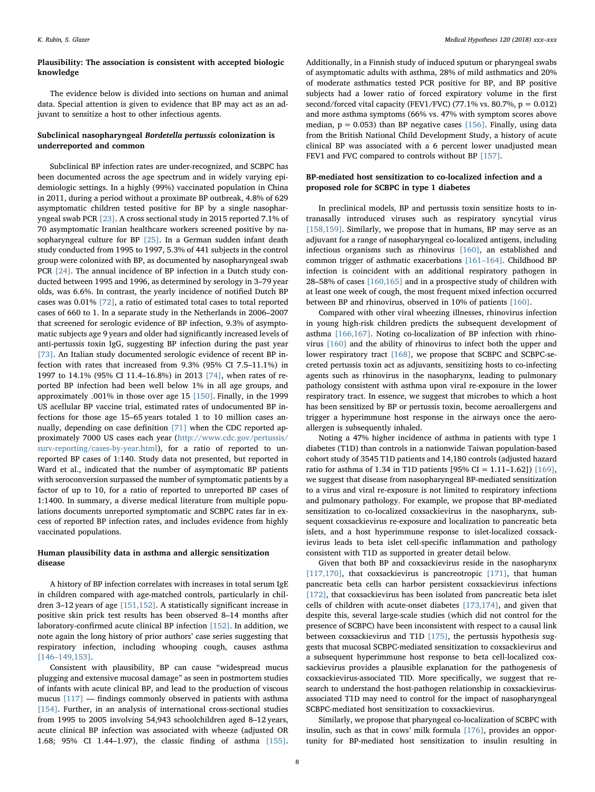## Plausibility: The association is consistent with accepted biologic knowledge

The evidence below is divided into sections on human and animal data. Special attention is given to evidence that BP may act as an adjuvant to sensitize a host to other infectious agents.

# Subclinical nasopharyngeal Bordetella pertussis colonization is underreported and common

Subclinical BP infection rates are under-recognized, and SCBPC has been documented across the age spectrum and in widely varying epidemiologic settings. In a highly (99%) vaccinated population in China in 2011, during a period without a proximate BP outbreak, 4.8% of 629 asymptomatic children tested positive for BP by a single nasopharyngeal swab PCR [\[23\]](#page-12-1). A cross sectional study in 2015 reported 7.1% of 70 asymptomatic Iranian healthcare workers screened positive by nasopharyngeal culture for BP [\[25\]](#page-12-48). In a German sudden infant death study conducted from 1995 to 1997, 5.3% of 441 subjects in the control group were colonized with BP, as documented by nasopharyngeal swab PCR [\[24\].](#page-12-27) The annual incidence of BP infection in a Dutch study conducted between 1995 and 1996, as determined by serology in 3–79 year olds, was 6.6%. In contrast, the yearly incidence of notified Dutch BP cases was 0.01% [\[72\],](#page-12-49) a ratio of estimated total cases to total reported cases of 660 to 1. In a separate study in the Netherlands in 2006–2007 that screened for serologic evidence of BP infection, 9.3% of asymptomatic subjects age 9 years and older had significantly increased levels of anti-pertussis toxin IgG, suggesting BP infection during the past year [\[73\]](#page-12-50). An Italian study documented serologic evidence of recent BP infection with rates that increased from 9.3% (95% CI 7.5–11.1%) in 1997 to 14.1% (95% CI 11.4–16.8%) in 2013 [\[74\],](#page-12-51) when rates of reported BP infection had been well below 1% in all age groups, and approximately .001% in those over age 15 [\[150\]](#page-13-45). Finally, in the 1999 US acellular BP vaccine trial, estimated rates of undocumented BP infections for those age 15–65 years totaled 1 to 10 million cases annually, depending on case definition [\[71\]](#page-12-22) when the CDC reported approximately 7000 US cases each year ([http://www.cdc.gov/pertussis/](http://www.cdc.gov/pertussis/surv-reporting/cases-by-year.html) [surv-reporting/cases-by-year.html\)](http://www.cdc.gov/pertussis/surv-reporting/cases-by-year.html), for a ratio of reported to unreported BP cases of 1:140. Study data not presented, but reported in Ward et al., indicated that the number of asymptomatic BP patients with seroconversion surpassed the number of symptomatic patients by a factor of up to 10, for a ratio of reported to unreported BP cases of 1:1400. In summary, a diverse medical literature from multiple populations documents unreported symptomatic and SCBPC rates far in excess of reported BP infection rates, and includes evidence from highly vaccinated populations.

# Human plausibility data in asthma and allergic sensitization disease

A history of BP infection correlates with increases in total serum IgE in children compared with age-matched controls, particularly in children 3–12 years of age [\[151,152\]](#page-13-46). A statistically significant increase in positive skin prick test results has been observed 8–14 months after laboratory-confirmed acute clinical BP infection [\[152\]](#page-13-47). In addition, we note again the long history of prior authors' case series suggesting that respiratory infection, including whooping cough, causes asthma [146–[149,153\].](#page-13-41)

Consistent with plausibility, BP can cause "widespread mucus plugging and extensive mucosal damage" as seen in postmortem studies of infants with acute clinical BP, and lead to the production of viscous mucus [\[117\]](#page-13-48) — findings commonly observed in patients with asthma [\[154\].](#page-13-49) Further, in an analysis of international cross-sectional studies from 1995 to 2005 involving 54,943 schoolchildren aged 8–12 years, acute clinical BP infection was associated with wheeze (adjusted OR 1.68; 95% CI 1.44–1.97), the classic finding of asthma [\[155\]](#page-13-50).

Additionally, in a Finnish study of induced sputum or pharyngeal swabs of asymptomatic adults with asthma, 28% of mild asthmatics and 20% of moderate asthmatics tested PCR positive for BP, and BP positive subjects had a lower ratio of forced expiratory volume in the first second/forced vital capacity (FEV1/FVC) (77.1% vs. 80.7%,  $p = 0.012$ ) and more asthma symptoms (66% vs. 47% with symptom scores above median,  $p = 0.053$ ) than BP negative cases [\[156\].](#page-13-51) Finally, using data from the British National Child Development Study, a history of acute clinical BP was associated with a 6 percent lower unadjusted mean FEV1 and FVC compared to controls without BP [\[157\].](#page-13-52)

# BP-mediated host sensitization to co-localized infection and a proposed role for SCBPC in type 1 diabetes

In preclinical models, BP and pertussis toxin sensitize hosts to intranasally introduced viruses such as respiratory syncytial virus [\[158,159\]](#page-13-53). Similarly, we propose that in humans, BP may serve as an adjuvant for a range of nasopharyngeal co-localized antigens, including infectious organisms such as rhinovirus [\[160\]](#page-13-54), an established and common trigger of asthmatic exacerbations [161–[164\]](#page-13-55). Childhood BP infection is coincident with an additional respiratory pathogen in 28–58% of cases [\[160,165\]](#page-13-54) and in a prospective study of children with at least one week of cough, the most frequent mixed infection occurred between BP and rhinovirus, observed in 10% of patients [\[160\].](#page-13-54)

Compared with other viral wheezing illnesses, rhinovirus infection in young high-risk children predicts the subsequent development of asthma [\[166,167\]](#page-14-0). Noting co-localization of BP infection with rhinovirus [\[160\]](#page-13-54) and the ability of rhinovirus to infect both the upper and lower respiratory tract [\[168\]](#page-14-1), we propose that SCBPC and SCBPC-secreted pertussis toxin act as adjuvants, sensitizing hosts to co-infecting agents such as rhinovirus in the nasopharynx, leading to pulmonary pathology consistent with asthma upon viral re-exposure in the lower respiratory tract. In essence, we suggest that microbes to which a host has been sensitized by BP or pertussis toxin, become aeroallergens and trigger a hyperimmune host response in the airways once the aeroallergen is subsequently inhaled.

Noting a 47% higher incidence of asthma in patients with type 1 diabetes (T1D) than controls in a nationwide Taiwan population-based cohort study of 3545 T1D patients and 14,180 controls (adjusted hazard ratio for asthma of 1.34 in T1D patients [95% CI = 1.11-1.62]) [\[169\]](#page-14-2), we suggest that disease from nasopharyngeal BP-mediated sensitization to a virus and viral re-exposure is not limited to respiratory infections and pulmonary pathology. For example, we propose that BP-mediated sensitization to co-localized coxsackievirus in the nasopharynx, subsequent coxsackievirus re-exposure and localization to pancreatic beta islets, and a host hyperimmune response to islet-localized coxsackievirus leads to beta islet cell-specific inflammation and pathology consistent with T1D as supported in greater detail below.

Given that both BP and coxsackievirus reside in the nasopharynx [\[117,170\]](#page-13-48), that coxsackievirus is pancreotropic [\[171\],](#page-14-3) that human pancreatic beta cells can harbor persistent coxsackievirus infections [\[172\],](#page-14-4) that coxsackievirus has been isolated from pancreatic beta islet cells of children with acute-onset diabetes [\[173,174\]](#page-14-5), and given that despite this, several large-scale studies (which did not control for the presence of SCBPC) have been inconsistent with respect to a causal link between coxsackievirus and T1D [\[175\]](#page-14-6), the pertussis hypothesis suggests that mucosal SCBPC-mediated sensitization to coxsackievirus and a subsequent hyperimmune host response to beta cell-localized coxsackievirus provides a plausible explanation for the pathogenesis of coxsackievirus-associated TID. More specifically, we suggest that research to understand the host-pathogen relationship in coxsackievirusassociated T1D may need to control for the impact of nasopharyngeal SCBPC-mediated host sensitization to coxsackievirus.

Similarly, we propose that pharyngeal co-localization of SCBPC with insulin, such as that in cows' milk formula [\[176\]](#page-14-7), provides an opportunity for BP-mediated host sensitization to insulin resulting in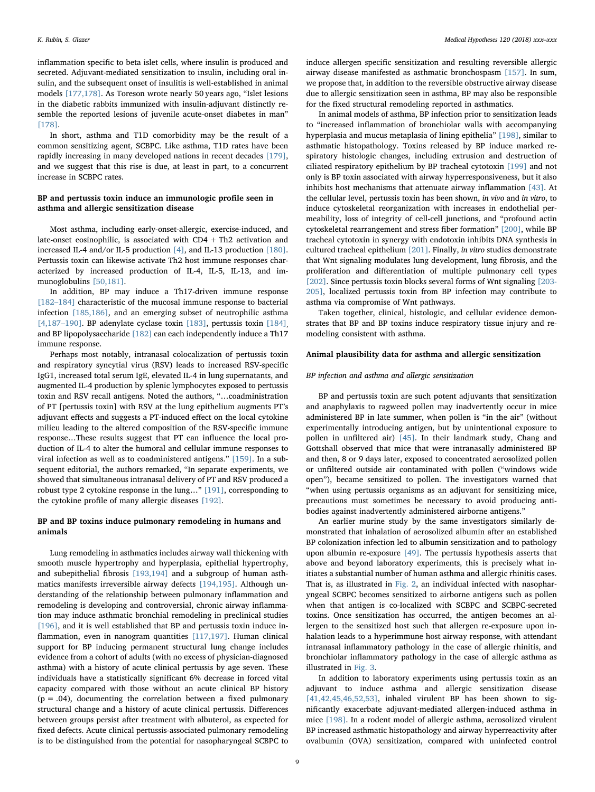inflammation specific to beta islet cells, where insulin is produced and secreted. Adjuvant-mediated sensitization to insulin, including oral insulin, and the subsequent onset of insulitis is well-established in animal models [\[177,178\]](#page-14-8). As Toreson wrote nearly 50 years ago, "Islet lesions in the diabetic rabbits immunized with insulin-adjuvant distinctly resemble the reported lesions of juvenile acute-onset diabetes in man" [\[178\].](#page-14-9)

In short, asthma and T1D comorbidity may be the result of a common sensitizing agent, SCBPC. Like asthma, T1D rates have been rapidly increasing in many developed nations in recent decades [\[179\]](#page-14-10), and we suggest that this rise is due, at least in part, to a concurrent increase in SCBPC rates.

# BP and pertussis toxin induce an immunologic profile seen in asthma and allergic sensitization disease

Most asthma, including early-onset-allergic, exercise-induced, and late-onset eosinophilic, is associated with CD4 + Th2 activation and increased IL-4 and/or IL-5 production [\[4\],](#page-11-12) and IL-13 production [\[180\]](#page-14-11). Pertussis toxin can likewise activate Th2 host immune responses characterized by increased production of IL-4, IL-5, IL-13, and immunoglobulins [\[50,181\]](#page-12-46).

In addition, BP may induce a Th17-driven immune response [182-[184\]](#page-14-12) characteristic of the mucosal immune response to bacterial infection [\[185,186\]](#page-14-13), and an emerging subset of neutrophilic asthma [\[4,187](#page-11-12)–190]. BP adenylate cyclase toxin [\[183\],](#page-14-14) pertussis toxin [\[184\],](#page-14-15) and BP lipopolysaccharide [\[182\]](#page-14-12) can each independently induce a Th17 immune response.

Perhaps most notably, intranasal colocalization of pertussis toxin and respiratory syncytial virus (RSV) leads to increased RSV-specific IgG1, increased total serum IgE, elevated IL-4 in lung supernatants, and augmented IL-4 production by splenic lymphocytes exposed to pertussis toxin and RSV recall antigens. Noted the authors, "…coadministration of PT [pertussis toxin] with RSV at the lung epithelium augments PT's adjuvant effects and suggests a PT-induced effect on the local cytokine milieu leading to the altered composition of the RSV-specific immune response…These results suggest that PT can influence the local production of IL-4 to alter the humoral and cellular immune responses to viral infection as well as to coadministered antigens." [\[159\]](#page-13-56). In a subsequent editorial, the authors remarked, "In separate experiments, we showed that simultaneous intranasal delivery of PT and RSV produced a robust type 2 cytokine response in the lung…" [\[191\]](#page-14-16), corresponding to the cytokine profile of many allergic diseases [\[192\].](#page-14-17)

# BP and BP toxins induce pulmonary remodeling in humans and animals

Lung remodeling in asthmatics includes airway wall thickening with smooth muscle hypertrophy and hyperplasia, epithelial hypertrophy, and subepithelial fibrosis [\[193,194\]](#page-14-18) and a subgroup of human asthmatics manifests irreversible airway defects [\[194,195\]](#page-14-19). Although understanding of the relationship between pulmonary inflammation and remodeling is developing and controversial, chronic airway inflammation may induce asthmatic bronchial remodeling in preclinical studies [\[196\],](#page-14-20) and it is well established that BP and pertussis toxin induce inflammation, even in nanogram quantities [\[117,197\].](#page-13-48) Human clinical support for BP inducing permanent structural lung change includes evidence from a cohort of adults (with no excess of physician-diagnosed asthma) with a history of acute clinical pertussis by age seven. These individuals have a statistically significant 6% decrease in forced vital capacity compared with those without an acute clinical BP history  $(p = .04)$ , documenting the correlation between a fixed pulmonary structural change and a history of acute clinical pertussis. Differences between groups persist after treatment with albuterol, as expected for fixed defects. Acute clinical pertussis-associated pulmonary remodeling is to be distinguished from the potential for nasopharyngeal SCBPC to induce allergen specific sensitization and resulting reversible allergic airway disease manifested as asthmatic bronchospasm [\[157\]](#page-13-52). In sum, we propose that, in addition to the reversible obstructive airway disease due to allergic sensitization seen in asthma, BP may also be responsible for the fixed structural remodeling reported in asthmatics.

In animal models of asthma, BP infection prior to sensitization leads to "increased inflammation of bronchiolar walls with accompanying hyperplasia and mucus metaplasia of lining epithelia" [\[198\]](#page-14-21), similar to asthmatic histopathology. Toxins released by BP induce marked respiratory histologic changes, including extrusion and destruction of ciliated respiratory epithelium by BP tracheal cytotoxin [\[199\]](#page-14-22) and not only is BP toxin associated with airway hyperresponsiveness, but it also inhibits host mechanisms that attenuate airway inflammation [\[43\].](#page-12-42) At the cellular level, pertussis toxin has been shown, in vivo and in vitro, to induce cytoskeletal reorganization with increases in endothelial permeability, loss of integrity of cell-cell junctions, and "profound actin cytoskeletal rearrangement and stress fiber formation" [\[200\],](#page-14-23) while BP tracheal cytotoxin in synergy with endotoxin inhibits DNA synthesis in cultured tracheal epithelium [\[201\].](#page-14-24) Finally, in vitro studies demonstrate that Wnt signaling modulates lung development, lung fibrosis, and the proliferation and differentiation of multiple pulmonary cell types [\[202\].](#page-14-25) Since pertussis toxin blocks several forms of Wnt signaling [\[203-](#page-14-26) [205\]](#page-14-26), localized pertussis toxin from BP infection may contribute to asthma via compromise of Wnt pathways.

Taken together, clinical, histologic, and cellular evidence demonstrates that BP and BP toxins induce respiratory tissue injury and remodeling consistent with asthma.

### Animal plausibility data for asthma and allergic sensitization

### BP infection and asthma and allergic sensitization

BP and pertussis toxin are such potent adjuvants that sensitization and anaphylaxis to ragweed pollen may inadvertently occur in mice administered BP in late summer, when pollen is "in the air" (without experimentally introducing antigen, but by unintentional exposure to pollen in unfiltered air) [\[45\]](#page-12-52). In their landmark study, Chang and Gottshall observed that mice that were intranasally administered BP and then, 8 or 9 days later, exposed to concentrated aerosolized pollen or unfiltered outside air contaminated with pollen ("windows wide open"), became sensitized to pollen. The investigators warned that "when using pertussis organisms as an adjuvant for sensitizing mice, precautions must sometimes be necessary to avoid producing antibodies against inadvertently administered airborne antigens."

An earlier murine study by the same investigators similarly demonstrated that inhalation of aerosolized albumin after an established BP colonization infection led to albumin sensitization and to pathology upon albumin re-exposure [\[49\]](#page-12-44). The pertussis hypothesis asserts that above and beyond laboratory experiments, this is precisely what initiates a substantial number of human asthma and allergic rhinitis cases. That is, as illustrated in [Fig. 2,](#page-9-0) an individual infected with nasopharyngeal SCBPC becomes sensitized to airborne antigens such as pollen when that antigen is co-localized with SCBPC and SCBPC-secreted toxins. Once sensitization has occurred, the antigen becomes an allergen to the sensitized host such that allergen re-exposure upon inhalation leads to a hyperimmune host airway response, with attendant intranasal inflammatory pathology in the case of allergic rhinitis, and bronchiolar inflammatory pathology in the case of allergic asthma as illustrated in [Fig. 3.](#page-10-0)

In addition to laboratory experiments using pertussis toxin as an adjuvant to induce asthma and allergic sensitization disease [\[41,42,45,46,52,53\]](#page-12-41), inhaled virulent BP has been shown to significantly exacerbate adjuvant-mediated allergen-induced asthma in mice [\[198\]](#page-14-21). In a rodent model of allergic asthma, aerosolized virulent BP increased asthmatic histopathology and airway hyperreactivity after ovalbumin (OVA) sensitization, compared with uninfected control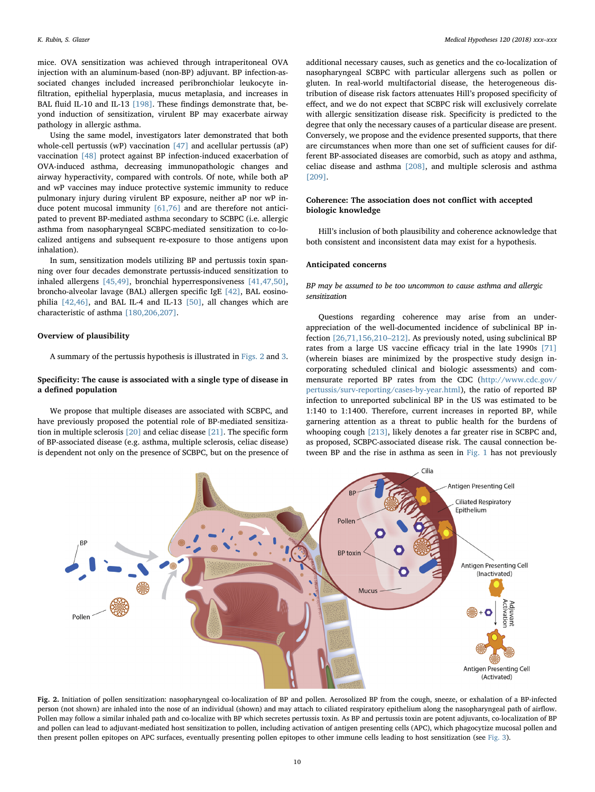mice. OVA sensitization was achieved through intraperitoneal OVA injection with an aluminum-based (non-BP) adjuvant. BP infection-associated changes included increased peribronchiolar leukocyte infiltration, epithelial hyperplasia, mucus metaplasia, and increases in BAL fluid IL-10 and IL-13 [\[198\].](#page-14-21) These findings demonstrate that, beyond induction of sensitization, virulent BP may exacerbate airway pathology in allergic asthma.

Using the same model, investigators later demonstrated that both whole-cell pertussis (wP) vaccination [\[47\]](#page-12-43) and acellular pertussis (aP) vaccination [\[48\]](#page-12-53) protect against BP infection-induced exacerbation of OVA-induced asthma, decreasing immunopathologic changes and airway hyperactivity, compared with controls. Of note, while both aP and wP vaccines may induce protective systemic immunity to reduce pulmonary injury during virulent BP exposure, neither aP nor wP induce potent mucosal immunity [\[61,76\]](#page-12-15) and are therefore not anticipated to prevent BP-mediated asthma secondary to SCBPC (i.e. allergic asthma from nasopharyngeal SCBPC-mediated sensitization to co-localized antigens and subsequent re-exposure to those antigens upon inhalation).

In sum, sensitization models utilizing BP and pertussis toxin spanning over four decades demonstrate pertussis-induced sensitization to inhaled allergens [\[45,49\],](#page-12-52) bronchial hyperresponsiveness [\[41,47,50\]](#page-12-41), broncho-alveolar lavage (BAL) allergen specific IgE [\[42\],](#page-12-45) BAL eosinophilia [\[42,46\],](#page-12-45) and BAL IL-4 and IL-13 [\[50\],](#page-12-46) all changes which are characteristic of asthma [\[180,206,207\].](#page-14-11)

# Overview of plausibility

A summary of the pertussis hypothesis is illustrated in [Figs. 2](#page-9-0) and [3](#page-10-0).

### Specificity: The cause is associated with a single type of disease in a defined population

We propose that multiple diseases are associated with SCBPC, and have previously proposed the potential role of BP-mediated sensitization in multiple sclerosis [\[20\]](#page-11-10) and celiac disease [\[21\].](#page-11-13) The specific form of BP-associated disease (e.g. asthma, multiple sclerosis, celiac disease) is dependent not only on the presence of SCBPC, but on the presence of additional necessary causes, such as genetics and the co-localization of nasopharyngeal SCBPC with particular allergens such as pollen or gluten. In real-world multifactorial disease, the heterogeneous distribution of disease risk factors attenuates Hill's proposed specificity of effect, and we do not expect that SCBPC risk will exclusively correlate with allergic sensitization disease risk. Specificity is predicted to the degree that only the necessary causes of a particular disease are present. Conversely, we propose and the evidence presented supports, that there are circumstances when more than one set of sufficient causes for different BP-associated diseases are comorbid, such as atopy and asthma, celiac disease and asthma [\[208\],](#page-14-27) and multiple sclerosis and asthma [\[209\].](#page-14-28)

# Coherence: The association does not conflict with accepted biologic knowledge

Hill's inclusion of both plausibility and coherence acknowledge that both consistent and inconsistent data may exist for a hypothesis.

### Anticipated concerns

BP may be assumed to be too uncommon to cause asthma and allergic sensitization

Questions regarding coherence may arise from an underappreciation of the well-documented incidence of subclinical BP infection [\[26,71,156,210](#page-12-2)–212]. As previously noted, using subclinical BP rates from a large US vaccine efficacy trial in the late 1990s [\[71\]](#page-12-22) (wherein biases are minimized by the prospective study design incorporating scheduled clinical and biologic assessments) and commensurate reported BP rates from the CDC [\(http://www.cdc.gov/](http://www.cdc.gov/pertussis/surv-reporting/cases-by-year.html) [pertussis/surv-reporting/cases-by-year.html](http://www.cdc.gov/pertussis/surv-reporting/cases-by-year.html)), the ratio of reported BP infection to unreported subclinical BP in the US was estimated to be 1:140 to 1:1400. Therefore, current increases in reported BP, while garnering attention as a threat to public health for the burdens of whooping cough [\[213\]](#page-14-29), likely denotes a far greater rise in SCBPC and, as proposed, SCBPC-associated disease risk. The causal connection between BP and the rise in asthma as seen in [Fig. 1](#page-2-1) has not previously

<span id="page-9-0"></span>

Fig. 2. Initiation of pollen sensitization: nasopharyngeal co-localization of BP and pollen. Aerosolized BP from the cough, sneeze, or exhalation of a BP-infected person (not shown) are inhaled into the nose of an individual (shown) and may attach to ciliated respiratory epithelium along the nasopharyngeal path of airflow. Pollen may follow a similar inhaled path and co-localize with BP which secretes pertussis toxin. As BP and pertussis toxin are potent adjuvants, co-localization of BP and pollen can lead to adjuvant-mediated host sensitization to pollen, including activation of antigen presenting cells (APC), which phagocytize mucosal pollen and then present pollen epitopes on APC surfaces, eventually presenting pollen epitopes to other immune cells leading to host sensitization (see [Fig. 3\)](#page-10-0).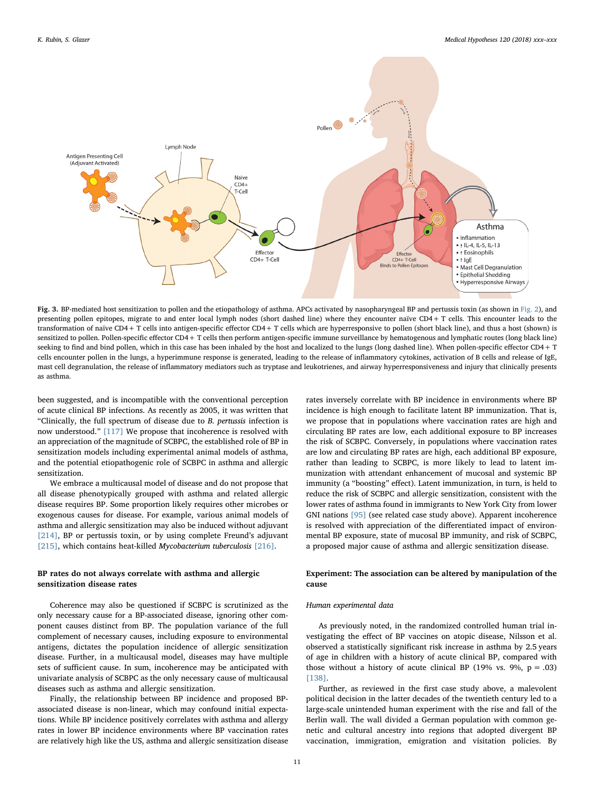<span id="page-10-0"></span>

Fig. 3. BP-mediated host sensitization to pollen and the etiopathology of asthma. APCs activated by nasopharyngeal BP and pertussis toxin (as shown in [Fig. 2](#page-9-0)), and presenting pollen epitopes, migrate to and enter local lymph nodes (short dashed line) where they encounter naïve CD4+ T cells. This encounter leads to the transformation of naïve CD4+ T cells into antigen-specific effector CD4+ T cells which are hyperresponsive to pollen (short black line), and thus a host (shown) is sensitized to pollen. Pollen-specific effector CD4+ T cells then perform antigen-specific immune surveillance by hematogenous and lymphatic routes (long black line) seeking to find and bind pollen, which in this case has been inhaled by the host and localized to the lungs (long dashed line). When pollen-specific effector CD4+ T cells encounter pollen in the lungs, a hyperimmune response is generated, leading to the release of inflammatory cytokines, activation of B cells and release of IgE, mast cell degranulation, the release of inflammatory mediators such as tryptase and leukotrienes, and airway hyperresponsiveness and injury that clinically presents as asthma.

been suggested, and is incompatible with the conventional perception of acute clinical BP infections. As recently as 2005, it was written that "Clinically, the full spectrum of disease due to B. pertussis infection is now understood." [\[117\]](#page-13-48) We propose that incoherence is resolved with an appreciation of the magnitude of SCBPC, the established role of BP in sensitization models including experimental animal models of asthma, and the potential etiopathogenic role of SCBPC in asthma and allergic sensitization.

We embrace a multicausal model of disease and do not propose that all disease phenotypically grouped with asthma and related allergic disease requires BP. Some proportion likely requires other microbes or exogenous causes for disease. For example, various animal models of asthma and allergic sensitization may also be induced without adjuvant [\[214\],](#page-14-30) BP or pertussis toxin, or by using complete Freund's adjuvant [\[215\],](#page-14-31) which contains heat-killed Mycobacterium tuberculosis [\[216\].](#page-14-32)

# BP rates do not always correlate with asthma and allergic sensitization disease rates

Coherence may also be questioned if SCBPC is scrutinized as the only necessary cause for a BP-associated disease, ignoring other component causes distinct from BP. The population variance of the full complement of necessary causes, including exposure to environmental antigens, dictates the population incidence of allergic sensitization disease. Further, in a multicausal model, diseases may have multiple sets of sufficient cause. In sum, incoherence may be anticipated with univariate analysis of SCBPC as the only necessary cause of multicausal diseases such as asthma and allergic sensitization.

Finally, the relationship between BP incidence and proposed BPassociated disease is non-linear, which may confound initial expectations. While BP incidence positively correlates with asthma and allergy rates in lower BP incidence environments where BP vaccination rates are relatively high like the US, asthma and allergic sensitization disease

rates inversely correlate with BP incidence in environments where BP incidence is high enough to facilitate latent BP immunization. That is, we propose that in populations where vaccination rates are high and circulating BP rates are low, each additional exposure to BP increases the risk of SCBPC. Conversely, in populations where vaccination rates are low and circulating BP rates are high, each additional BP exposure, rather than leading to SCBPC, is more likely to lead to latent immunization with attendant enhancement of mucosal and systemic BP immunity (a "boosting" effect). Latent immunization, in turn, is held to reduce the risk of SCBPC and allergic sensitization, consistent with the lower rates of asthma found in immigrants to New York City from lower GNI nations [\[95\]](#page-13-4) (see related case study above). Apparent incoherence is resolved with appreciation of the differentiated impact of environmental BP exposure, state of mucosal BP immunity, and risk of SCBPC, a proposed major cause of asthma and allergic sensitization disease.

# Experiment: The association can be altered by manipulation of the cause

### Human experimental data

As previously noted, in the randomized controlled human trial investigating the effect of BP vaccines on atopic disease, Nilsson et al. observed a statistically significant risk increase in asthma by 2.5 years of age in children with a history of acute clinical BP, compared with those without a history of acute clinical BP (19% vs. 9%,  $p = .03$ ) [\[138\].](#page-13-34)

Further, as reviewed in the first case study above, a malevolent political decision in the latter decades of the twentieth century led to a large-scale unintended human experiment with the rise and fall of the Berlin wall. The wall divided a German population with common genetic and cultural ancestry into regions that adopted divergent BP vaccination, immigration, emigration and visitation policies. By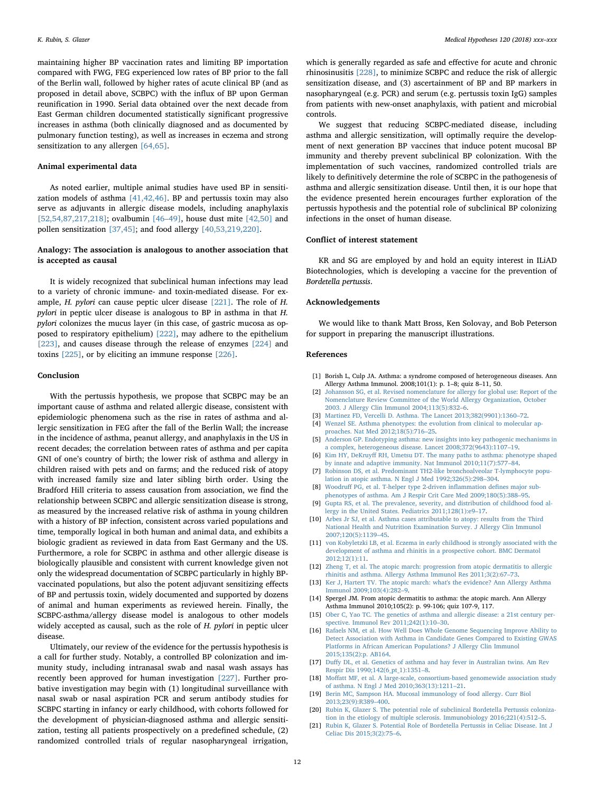maintaining higher BP vaccination rates and limiting BP importation compared with FWG, FEG experienced low rates of BP prior to the fall of the Berlin wall, followed by higher rates of acute clinical BP (and as proposed in detail above, SCBPC) with the influx of BP upon German reunification in 1990. Serial data obtained over the next decade from East German children documented statistically significant progressive increases in asthma (both clinically diagnosed and as documented by pulmonary function testing), as well as increases in eczema and strong sensitization to any allergen [\[64,65\]](#page-12-17).

### Animal experimental data

As noted earlier, multiple animal studies have used BP in sensitization models of asthma [\[41,42,46\]](#page-12-41). BP and pertussis toxin may also serve as adjuvants in allergic disease models, including anaphylaxis [\[52,54,87,217,218\]](#page-12-54); ovalbumin [46-[49\]](#page-12-55), house dust mite [\[42,50\]](#page-12-45) and pollen sensitization [\[37,45\];](#page-12-10) and food allergy [\[40,53,219,220\]](#page-12-56).

### Analogy: The association is analogous to another association that is accepted as causal

It is widely recognized that subclinical human infections may lead to a variety of chronic immune- and toxin-mediated disease. For example, H. pylori can cause peptic ulcer disease [\[221\]](#page-14-33). The role of H. pylori in peptic ulcer disease is analogous to BP in asthma in that H. pylori colonizes the mucus layer (in this case, of gastric mucosa as opposed to respiratory epithelium) [\[222\],](#page-14-34) may adhere to the epithelium [\[223\],](#page-14-35) and causes disease through the release of enzymes [\[224\]](#page-14-36) and toxins [\[225\],](#page-14-37) or by eliciting an immune response [\[226\].](#page-14-38)

#### Conclusion

With the pertussis hypothesis, we propose that SCBPC may be an important cause of asthma and related allergic disease, consistent with epidemiologic phenomena such as the rise in rates of asthma and allergic sensitization in FEG after the fall of the Berlin Wall; the increase in the incidence of asthma, peanut allergy, and anaphylaxis in the US in recent decades; the correlation between rates of asthma and per capita GNI of one's country of birth; the lower risk of asthma and allergy in children raised with pets and on farms; and the reduced risk of atopy with increased family size and later sibling birth order. Using the Bradford Hill criteria to assess causation from association, we find the relationship between SCBPC and allergic sensitization disease is strong, as measured by the increased relative risk of asthma in young children with a history of BP infection, consistent across varied populations and time, temporally logical in both human and animal data, and exhibits a biologic gradient as reviewed in data from East Germany and the US. Furthermore, a role for SCBPC in asthma and other allergic disease is biologically plausible and consistent with current knowledge given not only the widespread documentation of SCBPC particularly in highly BPvaccinated populations, but also the potent adjuvant sensitizing effects of BP and pertussis toxin, widely documented and supported by dozens of animal and human experiments as reviewed herein. Finally, the SCBPC-asthma/allergy disease model is analogous to other models widely accepted as causal, such as the role of H. pylori in peptic ulcer disease.

Ultimately, our review of the evidence for the pertussis hypothesis is a call for further study. Notably, a controlled BP colonization and immunity study, including intranasal swab and nasal wash assays has recently been approved for human investigation [\[227\]](#page-14-39). Further probative investigation may begin with (1) longitudinal surveillance with nasal swab or nasal aspiration PCR and serum antibody studies for SCBPC starting in infancy or early childhood, with cohorts followed for the development of physician-diagnosed asthma and allergic sensitization, testing all patients prospectively on a predefined schedule, (2) randomized controlled trials of regular nasopharyngeal irrigation,

which is generally regarded as safe and effective for acute and chronic rhinosinusitis [\[228\],](#page-14-40) to minimize SCBPC and reduce the risk of allergic sensitization disease, and (3) ascertainment of BP and BP markers in nasopharyngeal (e.g. PCR) and serum (e.g. pertussis toxin IgG) samples from patients with new-onset anaphylaxis, with patient and microbial controls.

We suggest that reducing SCBPC-mediated disease, including asthma and allergic sensitization, will optimally require the development of next generation BP vaccines that induce potent mucosal BP immunity and thereby prevent subclinical BP colonization. With the implementation of such vaccines, randomized controlled trials are likely to definitively determine the role of SCBPC in the pathogenesis of asthma and allergic sensitization disease. Until then, it is our hope that the evidence presented herein encourages further exploration of the pertussis hypothesis and the potential role of subclinical BP colonizing infections in the onset of human disease.

## Conflict of interest statement

KR and SG are employed by and hold an equity interest in ILiAD Biotechnologies, which is developing a vaccine for the prevention of Bordetella pertussis.

### Acknowledgements

We would like to thank Matt Bross, Ken Solovay, and Bob Peterson for support in preparing the manuscript illustrations.

#### References

- <span id="page-11-0"></span>[1] Borish L, Culp JA. Asthma: a syndrome composed of heterogeneous diseases. Ann Allergy Asthma Immunol. 2008;101(1): p. 1–8; quiz 8–11, 50.
- <span id="page-11-2"></span>[2] [Johansson SG, et al. Revised nomenclature for allergy for global use: Report of the](http://refhub.elsevier.com/S0306-9877(18)30668-6/h0010) [Nomenclature Review Committee of the World Allergy Organization, October](http://refhub.elsevier.com/S0306-9877(18)30668-6/h0010)
- [2003. J Allergy Clin Immunol 2004;113\(5\):832](http://refhub.elsevier.com/S0306-9877(18)30668-6/h0010)–6.
- <span id="page-11-12"></span><span id="page-11-11"></span>[3] [Martinez FD, Vercelli D. Asthma. The Lancet 2013;382\(9901\):1360](http://refhub.elsevier.com/S0306-9877(18)30668-6/h0015)–72. [4] [Wenzel SE. Asthma phenotypes: the evolution from clinical to molecular ap](http://refhub.elsevier.com/S0306-9877(18)30668-6/h0020)[proaches. Nat Med 2012;18\(5\):716](http://refhub.elsevier.com/S0306-9877(18)30668-6/h0020)–25.
- [5] [Anderson GP. Endotyping asthma: new insights into key pathogenic mechanisms in](http://refhub.elsevier.com/S0306-9877(18)30668-6/h0025) [a complex, heterogeneous disease. Lancet 2008;372\(9643\):1107](http://refhub.elsevier.com/S0306-9877(18)30668-6/h0025)–19.
- [6] Kim HY, DeKruyff [RH, Umetsu DT. The many paths to asthma: phenotype shaped](http://refhub.elsevier.com/S0306-9877(18)30668-6/h0030) [by innate and adaptive immunity. Nat Immunol 2010;11\(7\):577](http://refhub.elsevier.com/S0306-9877(18)30668-6/h0030)–84.
- <span id="page-11-1"></span>[7] [Robinson DS, et al. Predominant TH2-like bronchoalveolar T-lymphocyte popu](http://refhub.elsevier.com/S0306-9877(18)30668-6/h0035)[lation in atopic asthma. N Engl J Med 1992;326\(5\):298](http://refhub.elsevier.com/S0306-9877(18)30668-6/h0035)–304.
- [8] Woodruff [PG, et al. T-helper type 2-driven in](http://refhub.elsevier.com/S0306-9877(18)30668-6/h0040)flammation defines major sub[phenotypes of asthma. Am J Respir Crit Care Med 2009;180\(5\):388](http://refhub.elsevier.com/S0306-9877(18)30668-6/h0040)–95.
- [9] [Gupta RS, et al. The prevalence, severity, and distribution of childhood food al](http://refhub.elsevier.com/S0306-9877(18)30668-6/h0045)[lergy in the United States. Pediatrics 2011;128\(1\):e9](http://refhub.elsevier.com/S0306-9877(18)30668-6/h0045)–17.
- <span id="page-11-3"></span>[10] [Arbes Jr SJ, et al. Asthma cases attributable to atopy: results from the Third](http://refhub.elsevier.com/S0306-9877(18)30668-6/h0050) [National Health and Nutrition Examination Survey. J Allergy Clin Immunol](http://refhub.elsevier.com/S0306-9877(18)30668-6/h0050) [2007;120\(5\):1139](http://refhub.elsevier.com/S0306-9877(18)30668-6/h0050)–45.
- <span id="page-11-4"></span>[11] [von Kobyletzki LB, et al. Eczema in early childhood is strongly associated with the](http://refhub.elsevier.com/S0306-9877(18)30668-6/h0055) [development of asthma and rhinitis in a prospective cohort. BMC Dermatol](http://refhub.elsevier.com/S0306-9877(18)30668-6/h0055) [2012;12\(1\):11.](http://refhub.elsevier.com/S0306-9877(18)30668-6/h0055)
- [12] [Zheng T, et al. The atopic march: progression from atopic dermatitis to allergic](http://refhub.elsevier.com/S0306-9877(18)30668-6/h0060) [rhinitis and asthma. Allergy Asthma Immunol Res 2011;3\(2\):67](http://refhub.elsevier.com/S0306-9877(18)30668-6/h0060)–73.
- [13] [Ker J, Hartert TV. The atopic march: what's the evidence? Ann Allergy Asthma](http://refhub.elsevier.com/S0306-9877(18)30668-6/h0065) [Immunol 2009;103\(4\):282](http://refhub.elsevier.com/S0306-9877(18)30668-6/h0065)–9.
- [14] Spergel JM. From atopic dermatitis to asthma: the atopic march. Ann Allergy Asthma Immunol 2010;105(2): p. 99-106; quiz 107-9, 117.
- <span id="page-11-5"></span>[15] [Ober C, Yao TC. The genetics of asthma and allergic disease: a 21st century per](http://refhub.elsevier.com/S0306-9877(18)30668-6/h0075)[spective. Immunol Rev 2011;242\(1\):10](http://refhub.elsevier.com/S0306-9877(18)30668-6/h0075)–30.
- <span id="page-11-6"></span>[16] [Rafaels NM, et al. How Well Does Whole Genome Sequencing Improve Ability to](http://refhub.elsevier.com/S0306-9877(18)30668-6/h0080) [Detect Association with Asthma in Candidate Genes Compared to Existing GWAS](http://refhub.elsevier.com/S0306-9877(18)30668-6/h0080) [Platforms in African American Populations? J Allergy Clin Immunol](http://refhub.elsevier.com/S0306-9877(18)30668-6/h0080) [2015;135\(2\):p. AB164.](http://refhub.elsevier.com/S0306-9877(18)30668-6/h0080)
- <span id="page-11-8"></span>[17] Duffy [DL, et al. Genetics of asthma and hay fever in Australian twins. Am Rev](http://refhub.elsevier.com/S0306-9877(18)30668-6/h0085) [Respir Dis 1990;142\(6\\_pt\\_1\):1351](http://refhub.elsevier.com/S0306-9877(18)30668-6/h0085)–8.
- <span id="page-11-7"></span>[18] Moff[att MF, et al. A large-scale, consortium-based genomewide association study](http://refhub.elsevier.com/S0306-9877(18)30668-6/h0090) [of asthma. N Engl J Med 2010;363\(13\):1211](http://refhub.elsevier.com/S0306-9877(18)30668-6/h0090)–21.
- <span id="page-11-9"></span>[19] [Berin MC, Sampson HA. Mucosal immunology of food allergy. Curr Biol](http://refhub.elsevier.com/S0306-9877(18)30668-6/h0095) [2013;23\(9\):R389](http://refhub.elsevier.com/S0306-9877(18)30668-6/h0095)–400.
- <span id="page-11-10"></span>[20] [Rubin K, Glazer S. The potential role of subclinical Bordetella Pertussis coloniza](http://refhub.elsevier.com/S0306-9877(18)30668-6/h0100)[tion in the etiology of multiple sclerosis. Immunobiology 2016;221\(4\):512](http://refhub.elsevier.com/S0306-9877(18)30668-6/h0100)–5.
- <span id="page-11-13"></span>[21] [Rubin K, Glazer S. Potential Role of Bordetella Pertussis in Celiac Disease. Int J](http://refhub.elsevier.com/S0306-9877(18)30668-6/h0105) [Celiac Dis 2015;3\(2\):75](http://refhub.elsevier.com/S0306-9877(18)30668-6/h0105)–6.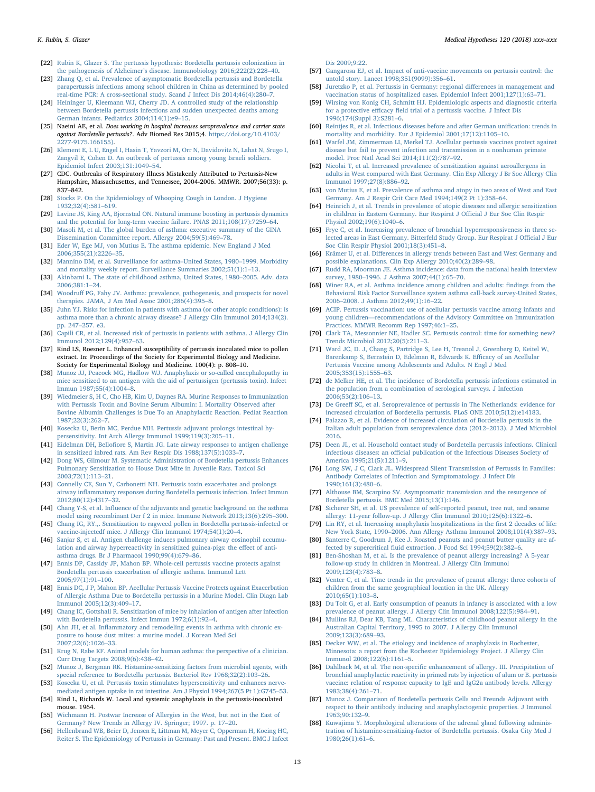- <span id="page-12-0"></span>[22] [Rubin K, Glazer S. The pertussis hypothesis: Bordetella pertussis colonization in](http://refhub.elsevier.com/S0306-9877(18)30668-6/h0110) the pathogenesis of Alzheimer'[s disease. Immunobiology 2016;222\(2\):228](http://refhub.elsevier.com/S0306-9877(18)30668-6/h0110)–40.
- <span id="page-12-1"></span>[23] [Zhang Q, et al. Prevalence of asymptomatic Bordetella pertussis and Bordetella](http://refhub.elsevier.com/S0306-9877(18)30668-6/h0115) [parapertussis infections among school children in China as determined by pooled](http://refhub.elsevier.com/S0306-9877(18)30668-6/h0115) [real-time PCR: A cross-sectional study. Scand J Infect Dis 2014;46\(4\):280](http://refhub.elsevier.com/S0306-9877(18)30668-6/h0115)–7.
- <span id="page-12-27"></span>[24] [Heininger U, Kleemann WJ, Cherry JD. A controlled study of the relationship](http://refhub.elsevier.com/S0306-9877(18)30668-6/h0120) [between Bordetella pertussis infections and sudden unexpected deaths among](http://refhub.elsevier.com/S0306-9877(18)30668-6/h0120) [German infants. Pediatrics 2004;114\(1\):e9](http://refhub.elsevier.com/S0306-9877(18)30668-6/h0120)–15.
- <span id="page-12-48"></span>[25] Naeini AE, et al. Does working in hospital increases seroprevalence and carrier state against Bordetella pertussis?. Adv Biomed Res 2015;4. [https://doi.org/10.4103/](https://doi.org/10.4103/2277-9175.166155)) [2277-9175.166155\).](https://doi.org/10.4103/2277-9175.166155))
- <span id="page-12-2"></span>[26] [Klement E, L U, Engel I, Hasin T, Yavzori M, Orr N, Davidovitz N, Lahat N, Srugo I,](http://refhub.elsevier.com/S0306-9877(18)30668-6/h0130) [Zangvil E, Cohen D. An outbreak of pertussis among young Israeli soldiers.](http://refhub.elsevier.com/S0306-9877(18)30668-6/h0130) [Epidemiol Infect 2003;131:1049](http://refhub.elsevier.com/S0306-9877(18)30668-6/h0130)–54.
- <span id="page-12-3"></span>[27] CDC. Outbreaks of Respiratory Illness Mistakenly Attributed to Pertussis-New Hampshire, Massachusettes, and Tennessee, 2004-2006. MMWR. 2007;56(33): p. 837–842.
- <span id="page-12-4"></span>[28] [Stocks P. On the Epidemiology of Whooping Cough in London. J Hygiene](http://refhub.elsevier.com/S0306-9877(18)30668-6/h0140) [1932;32\(4\):581](http://refhub.elsevier.com/S0306-9877(18)30668-6/h0140)–619.
- <span id="page-12-5"></span>[29] [Lavine JS, King AA, Bjornstad ON. Natural immune boosting in pertussis dynamics](http://refhub.elsevier.com/S0306-9877(18)30668-6/h0145) [and the potential for long-term vaccine failure. PNAS 2011;108\(17\):7259](http://refhub.elsevier.com/S0306-9877(18)30668-6/h0145)–64.
- <span id="page-12-6"></span>[Masoli M, et al. The global burden of asthma: executive summary of the GINA](http://refhub.elsevier.com/S0306-9877(18)30668-6/h0150) [Dissemination Committee report. Allergy 2004;59\(5\):469](http://refhub.elsevier.com/S0306-9877(18)30668-6/h0150)–78.
- <span id="page-12-7"></span>[31] [Eder W, Ege MJ, von Mutius E. The asthma epidemic. New England J Med](http://refhub.elsevier.com/S0306-9877(18)30668-6/h0155) [2006;355\(21\):2226](http://refhub.elsevier.com/S0306-9877(18)30668-6/h0155)–35.
- [32] [Mannino DM, et al. Surveillance for asthma](http://refhub.elsevier.com/S0306-9877(18)30668-6/h0160)–United States, 1980–1999. Morbidity [and mortality weekly report. Surveillance Summaries 2002;51\(1\):1](http://refhub.elsevier.com/S0306-9877(18)30668-6/h0160)–13.
- [33] [Akinbami L. The state of childhood asthma, United States, 1980](http://refhub.elsevier.com/S0306-9877(18)30668-6/h0165)–2005. Adv. data [2006;381:1](http://refhub.elsevier.com/S0306-9877(18)30668-6/h0165)–24.
- [34] Woodruff [PG, Fahy JV. Asthma: prevalence, pathogenesis, and prospects for novel](http://refhub.elsevier.com/S0306-9877(18)30668-6/h0170) [therapies. JAMA, J Am Med Assoc 2001;286\(4\):395](http://refhub.elsevier.com/S0306-9877(18)30668-6/h0170)–8.
- <span id="page-12-8"></span>[35] [Juhn YJ. Risks for infection in patients with asthma \(or other atopic conditions\): is](http://refhub.elsevier.com/S0306-9877(18)30668-6/h0175) [asthma more than a chronic airway disease? J Allergy Clin Immunol 2014;134\(2\).](http://refhub.elsevier.com/S0306-9877(18)30668-6/h0175) pp. 247–[257. e3.](http://refhub.elsevier.com/S0306-9877(18)30668-6/h0175)
- <span id="page-12-9"></span>[36] [Capili CR, et al. Increased risk of pertussis in patients with asthma. J Allergy Clin](http://refhub.elsevier.com/S0306-9877(18)30668-6/h0180) [Immunol 2012;129\(4\):957](http://refhub.elsevier.com/S0306-9877(18)30668-6/h0180)–63.
- <span id="page-12-10"></span>[37] Kind LS, Roesner L. Enhanced susceptibility of pertussis inoculated mice to pollen extract. In: Proceedings of the Society for Experimental Biology and Medicine. Society for Experimental Biology and Medicine. 100(4): p. 808–10.
- <span id="page-12-36"></span>[38] [Munoz JJ, Peacock MG, Hadlow WJ. Anaphylaxis or so-called encephalopathy in](http://refhub.elsevier.com/S0306-9877(18)30668-6/h0190) [mice sensitized to an antigen with the aid of pertussigen \(pertussis toxin\). Infect](http://refhub.elsevier.com/S0306-9877(18)30668-6/h0190) [Immun 1987;55\(4\):1004](http://refhub.elsevier.com/S0306-9877(18)30668-6/h0190)–8.
- <span id="page-12-38"></span>[39] [Wiedmeier S, H C, Cho HB, Kim U, Daynes RA. Murine Responses to Immunization](http://refhub.elsevier.com/S0306-9877(18)30668-6/h0195) [with Pertussis Toxin and Bovine Serum Albumin: I. Mortality Observed after](http://refhub.elsevier.com/S0306-9877(18)30668-6/h0195) [Bovine Albumin Challenges is Due To an Anaphylactic Reaction. Pediat Reaction](http://refhub.elsevier.com/S0306-9877(18)30668-6/h0195) [1987;22\(3\):262](http://refhub.elsevier.com/S0306-9877(18)30668-6/h0195)–7.
- <span id="page-12-56"></span>[40] [Kosecka U, Berin MC, Perdue MH. Pertussis adjuvant prolongs intestinal hy](http://refhub.elsevier.com/S0306-9877(18)30668-6/h0200)[persensitivity. Int Arch Allergy Immunol 1999;119\(3\):205](http://refhub.elsevier.com/S0306-9877(18)30668-6/h0200)–11.
- <span id="page-12-41"></span>[41] Eidelman DH, Bellofi[ore S, Martin JG. Late airway responses to antigen challenge](http://refhub.elsevier.com/S0306-9877(18)30668-6/h0205) [in sensitized inbred rats. Am Rev Respir Dis 1988;137\(5\):1033](http://refhub.elsevier.com/S0306-9877(18)30668-6/h0205)–7.
- <span id="page-12-45"></span>[42] [Dong WS, Gilmour M. Systematic Administration of Bordetella pertussis Enhances](http://refhub.elsevier.com/S0306-9877(18)30668-6/h0210) [Pulmonary Sensitization to House Dust Mite in Juvenile Rats. Taxicol Sci](http://refhub.elsevier.com/S0306-9877(18)30668-6/h0210) [2003;72\(1\):113](http://refhub.elsevier.com/S0306-9877(18)30668-6/h0210)–21.
- <span id="page-12-42"></span>[43] [Connelly CE, Sun Y, Carbonetti NH. Pertussis toxin exacerbates and prolongs](http://refhub.elsevier.com/S0306-9877(18)30668-6/h0215) airway infl[ammatory responses during Bordetella pertussis infection. Infect Immun](http://refhub.elsevier.com/S0306-9877(18)30668-6/h0215) [2012;80\(12\):4317](http://refhub.elsevier.com/S0306-9877(18)30668-6/h0215)–32.
- [44] Chang Y-S, et al. Infl[uence of the adjuvants and genetic background on the asthma](http://refhub.elsevier.com/S0306-9877(18)30668-6/h0220) [model using recombinant Der f 2 in mice. Immune Network 2013;13\(6\):295](http://refhub.elsevier.com/S0306-9877(18)30668-6/h0220)–300.
- <span id="page-12-52"></span>[45] [Chang IG, RY.,. Sensitization to ragweed pollen in Bordetella pertussis-infected or](http://refhub.elsevier.com/S0306-9877(18)30668-6/h0225) [vaccine-injectedf mice. J Allergy Clin Immunol 1974;54\(1\):20](http://refhub.elsevier.com/S0306-9877(18)30668-6/h0225)–4.
- <span id="page-12-55"></span>[46] [Sanjar S, et al. Antigen challenge induces pulmonary airway eosinophil accumu](http://refhub.elsevier.com/S0306-9877(18)30668-6/h0230)[lation and airway hyperreactivity in sensitized guinea-pigs: the e](http://refhub.elsevier.com/S0306-9877(18)30668-6/h0230)ffect of anti[asthma drugs. Br J Pharmacol 1990;99\(4\):679](http://refhub.elsevier.com/S0306-9877(18)30668-6/h0230)–86.
- <span id="page-12-43"></span>[47] [Ennis DP, Cassidy JP, Mahon BP. Whole-cell pertussis vaccine protects against](http://refhub.elsevier.com/S0306-9877(18)30668-6/h0235) [Bordetella pertussis exacerbation of allergic asthma. Immunol Lett](http://refhub.elsevier.com/S0306-9877(18)30668-6/h0235) [2005;97\(1\):91](http://refhub.elsevier.com/S0306-9877(18)30668-6/h0235)–100.
- <span id="page-12-53"></span>[48] [Ennis DC, J P, Mahon BP. Acellular Pertussis Vaccine Protects against Exacerbation](http://refhub.elsevier.com/S0306-9877(18)30668-6/h0240) [of Allergic Asthma Due to Bordetella pertussis in a Murine Model. Clin Diagn Lab](http://refhub.elsevier.com/S0306-9877(18)30668-6/h0240) [Immunol 2005;12\(3\):409](http://refhub.elsevier.com/S0306-9877(18)30668-6/h0240)–17.
- <span id="page-12-44"></span>[49] [Chang IC, Gottshall R. Sensitization of mice by inhalation of antigen after infection](http://refhub.elsevier.com/S0306-9877(18)30668-6/h0245) [with Bordetella pertussis. Infect Immun 1972;6\(1\):92](http://refhub.elsevier.com/S0306-9877(18)30668-6/h0245)–4.
- <span id="page-12-46"></span>[50] Ahn JH, et al. Infl[ammatory and remodeling events in asthma with chronic ex](http://refhub.elsevier.com/S0306-9877(18)30668-6/h0250)[posure to house dust mites: a murine model. J Korean Med Sci](http://refhub.elsevier.com/S0306-9877(18)30668-6/h0250) [2007;22\(6\):1026](http://refhub.elsevier.com/S0306-9877(18)30668-6/h0250)–33.
- <span id="page-12-47"></span>[51] Krug [N, Rabe KF. Animal models for human asthma: the perspective of a clinician.](http://refhub.elsevier.com/S0306-9877(18)30668-6/h0255) [Curr Drug Targets 2008;9\(6\):438](http://refhub.elsevier.com/S0306-9877(18)30668-6/h0255)–42.
- <span id="page-12-54"></span>[52] [Munoz J, Bergman RK. Histamine-sensitizing factors from microbial agents, with](http://refhub.elsevier.com/S0306-9877(18)30668-6/h0260) [special reference to Bordetella pertussis. Bacteriol Rev 1968;32\(2\):103](http://refhub.elsevier.com/S0306-9877(18)30668-6/h0260)–26.
- [53] [Kosecka U, et al. Pertussis toxin stimulates hypersensitivity and enhances nerve](http://refhub.elsevier.com/S0306-9877(18)30668-6/h0265)[mediated antigen uptake in rat intestine. Am J Physiol 1994;267\(5 Pt 1\):G745](http://refhub.elsevier.com/S0306-9877(18)30668-6/h0265)–53.
- [54] Kind L, Richards W. Local and systemic anaphylaxis in the pertussis-inoculated mouse. 1964.
- <span id="page-12-11"></span>[Wichmann H. Postwar Increase of Allergies in the West, but not in the East of](http://refhub.elsevier.com/S0306-9877(18)30668-6/h0275) [Germany? New Trends in Allergy IV. Springer; 1997. p. 17](http://refhub.elsevier.com/S0306-9877(18)30668-6/h0275)–20.
- <span id="page-12-12"></span>[56] [Hellenbrand WB, Beier D, Jensen E, Littman M, Meyer C, Opperman H, Koeing HC,](http://refhub.elsevier.com/S0306-9877(18)30668-6/h0280) [Reiter S. The Epidemiology of Pertussis in Germany: Past and Present. BMC J Infect](http://refhub.elsevier.com/S0306-9877(18)30668-6/h0280)

[Dis 2009;9:22.](http://refhub.elsevier.com/S0306-9877(18)30668-6/h0280)

- <span id="page-12-13"></span>[57] [Gangarosa EJ, et al. Impact of anti-vaccine movements on pertussis control: the](http://refhub.elsevier.com/S0306-9877(18)30668-6/h0285) [untold story. Lancet 1998;351\(9099\):356](http://refhub.elsevier.com/S0306-9877(18)30668-6/h0285)–61.
- [58] [Juretzko P, et al. Pertussis in Germany: regional di](http://refhub.elsevier.com/S0306-9877(18)30668-6/h0290)fferences in management and [vaccination status of hospitalized cases. Epidemiol Infect 2001;127\(1\):63](http://refhub.elsevier.com/S0306-9877(18)30668-6/h0290)–71.
- [59] [Wirsing von Konig CH, Schmitt HJ. Epidemiologic aspects and diagnostic criteria](http://refhub.elsevier.com/S0306-9877(18)30668-6/h0295) for a protective efficacy fi[eld trial of a pertussis vaccine. J Infect Dis](http://refhub.elsevier.com/S0306-9877(18)30668-6/h0295) [1996;174\(Suppl 3\):S281](http://refhub.elsevier.com/S0306-9877(18)30668-6/h0295)–6.
- <span id="page-12-14"></span>[60] [Reintjes R, et al. Infectious diseases before and after German uni](http://refhub.elsevier.com/S0306-9877(18)30668-6/h0300)fication: trends in [mortality and morbidity. Eur J Epidemiol 2001;17\(12\):1105](http://refhub.elsevier.com/S0306-9877(18)30668-6/h0300)–10.
- <span id="page-12-15"></span>[61] [Warfel JM, Zimmerman LI, Merkel TJ. Acellular pertussis vaccines protect against](http://refhub.elsevier.com/S0306-9877(18)30668-6/h0305) [disease but fail to prevent infection and transmission in a nonhuman primate](http://refhub.elsevier.com/S0306-9877(18)30668-6/h0305) [model. Proc Natl Acad Sci 2014;111\(2\):787](http://refhub.elsevier.com/S0306-9877(18)30668-6/h0305)–92.
- <span id="page-12-16"></span>[62] [Nicolai T, et al. Increased prevalence of sensitization against aeroallergens in](http://refhub.elsevier.com/S0306-9877(18)30668-6/h0310) [adults in West compared with East Germany. Clin Exp Allergy J Br Soc Allergy Clin](http://refhub.elsevier.com/S0306-9877(18)30668-6/h0310) [Immunol 1997;27\(8\):886](http://refhub.elsevier.com/S0306-9877(18)30668-6/h0310)–92.
- [63] [von Mutius E, et al. Prevalence of asthma and atopy in two areas of West and East](http://refhub.elsevier.com/S0306-9877(18)30668-6/h0315) [Germany. Am J Respir Crit Care Med 1994;149\(2 Pt 1\):358](http://refhub.elsevier.com/S0306-9877(18)30668-6/h0315)–64.
- <span id="page-12-17"></span>[64] [Heinrich J, et al. Trends in prevalence of atopic diseases and allergic sensitization](http://refhub.elsevier.com/S0306-9877(18)30668-6/h0320) [in children in Eastern Germany. Eur Respirat J O](http://refhub.elsevier.com/S0306-9877(18)30668-6/h0320)fficial J Eur Soc Clin Respir [Physiol 2002;19\(6\):1040](http://refhub.elsevier.com/S0306-9877(18)30668-6/h0320)–6.
- <span id="page-12-18"></span>[65] [Frye C, et al. Increasing prevalence of bronchial hyperresponsiveness in three se](http://refhub.elsevier.com/S0306-9877(18)30668-6/h0325)[lected areas in East Germany. Bitterfeld Study Group. Eur Respirat J O](http://refhub.elsevier.com/S0306-9877(18)30668-6/h0325)fficial J Eur [Soc Clin Respir Physiol 2001;18\(3\):451](http://refhub.elsevier.com/S0306-9877(18)30668-6/h0325)–8.
- <span id="page-12-19"></span>[66] Krämer U, et al. Diff[erences in allergy trends between East and West Germany and](http://refhub.elsevier.com/S0306-9877(18)30668-6/h0330) [possible explanations. Clin Exp Allergy 2010;40\(2\):289](http://refhub.elsevier.com/S0306-9877(18)30668-6/h0330)–98.
- <span id="page-12-20"></span>[67] [Rudd RA, Moorman JE. Asthma incidence: data from the national health interview](http://refhub.elsevier.com/S0306-9877(18)30668-6/h0335) survey, 1980–[1996. J Asthma 2007;44\(1\):65](http://refhub.elsevier.com/S0306-9877(18)30668-6/h0335)–70.
- <span id="page-12-21"></span>[68] [Winer RA, et al. Asthma incidence among children and adults:](http://refhub.elsevier.com/S0306-9877(18)30668-6/h0340) findings from the [Behavioral Risk Factor Surveillance system asthma call-back survey-United States,](http://refhub.elsevier.com/S0306-9877(18)30668-6/h0340) 2006–[2008. J Asthma 2012;49\(1\):16](http://refhub.elsevier.com/S0306-9877(18)30668-6/h0340)–22.
- <span id="page-12-23"></span>[69] [ACIP. Pertussis vaccination: use of acellular pertussis vaccine among infants and](http://refhub.elsevier.com/S0306-9877(18)30668-6/h0345) young children—[recommendations of the Advisory Committee on Immunization](http://refhub.elsevier.com/S0306-9877(18)30668-6/h0345) [Practices. MMWR Recomm Rep 1997;46:1](http://refhub.elsevier.com/S0306-9877(18)30668-6/h0345)–25.
- <span id="page-12-24"></span>[70] [Clark TA, Messonnier NE, Hadler SC. Pertussis control: time for something new?](http://refhub.elsevier.com/S0306-9877(18)30668-6/h0350) [Trends Microbiol 2012;20\(5\):211](http://refhub.elsevier.com/S0306-9877(18)30668-6/h0350)–3.
- <span id="page-12-22"></span>[71] Ward JC, D, J, Chang S, Partridge S, Lee H, Treanol J, Greenberg D, Keitel W, [Barenkamp S, Bernstein D, Edelman R, Edwards K. E](http://refhub.elsevier.com/S0306-9877(18)30668-6/h0355)fficacy of an Acellular [Pertussis Vaccine among Adolescents and Adults. N Engl J Med](http://refhub.elsevier.com/S0306-9877(18)30668-6/h0355) [2005;353\(15\):1555](http://refhub.elsevier.com/S0306-9877(18)30668-6/h0355)–63.
- <span id="page-12-49"></span>[72] [de Melker HE, et al. The incidence of Bordetella pertussis infections estimated in](http://refhub.elsevier.com/S0306-9877(18)30668-6/h0360) [the population from a combination of serological surveys. J Infection](http://refhub.elsevier.com/S0306-9877(18)30668-6/h0360) [2006;53\(2\):106](http://refhub.elsevier.com/S0306-9877(18)30668-6/h0360)–13.
- <span id="page-12-50"></span>[73] De Greeff [SC, et al. Seroprevalence of pertussis in The Netherlands: evidence for](http://refhub.elsevier.com/S0306-9877(18)30668-6/h0365) [increased circulation of Bordetella pertussis. PLoS ONE 2010;5\(12\):e14183.](http://refhub.elsevier.com/S0306-9877(18)30668-6/h0365)
- <span id="page-12-51"></span>[74] [Palazzo R, et al. Evidence of increased circulation of Bordetella pertussis in the](http://refhub.elsevier.com/S0306-9877(18)30668-6/h0370) [Italian adult population from seroprevalence data \(2012](http://refhub.elsevier.com/S0306-9877(18)30668-6/h0370)–2013). J Med Microbiol [2016.](http://refhub.elsevier.com/S0306-9877(18)30668-6/h0370)
- <span id="page-12-25"></span>[75] [Deen JL, et al. Household contact study of Bordetella pertussis infections. Clinical](http://refhub.elsevier.com/S0306-9877(18)30668-6/h0375) infectious diseases: an offi[cial publication of the Infectious Diseases Society of](http://refhub.elsevier.com/S0306-9877(18)30668-6/h0375) [America 1995;21\(5\):1211](http://refhub.elsevier.com/S0306-9877(18)30668-6/h0375)–9.
- <span id="page-12-40"></span>[76] [Long SW, J C, Clark JL. Widespread Silent Transmission of Pertussis in Families:](http://refhub.elsevier.com/S0306-9877(18)30668-6/h0380) [Antibody Correlates of Infection and Symptomatology. J Infect Dis](http://refhub.elsevier.com/S0306-9877(18)30668-6/h0380) [1990;161\(3\):480](http://refhub.elsevier.com/S0306-9877(18)30668-6/h0380)–6.
- <span id="page-12-26"></span>[77] [Althouse BM, Scarpino SV. Asymptomatic transmission and the resurgence of](http://refhub.elsevier.com/S0306-9877(18)30668-6/h0385) [Bordetella pertussis. BMC Med 2015;13\(1\):146.](http://refhub.elsevier.com/S0306-9877(18)30668-6/h0385)
- <span id="page-12-28"></span>[78] [Sicherer SH, et al. US prevalence of self-reported peanut, tree nut, and sesame](http://refhub.elsevier.com/S0306-9877(18)30668-6/h0390) [allergy: 11-year follow-up. J Allergy Clin Immunol 2010;125\(6\):1322](http://refhub.elsevier.com/S0306-9877(18)30668-6/h0390)–6.
- <span id="page-12-29"></span>[79] [Lin RY, et al. Increasing anaphylaxis hospitalizations in the](http://refhub.elsevier.com/S0306-9877(18)30668-6/h0395) first 2 decades of life: New York State, 1990–[2006. Ann Allergy Asthma Immunol 2008;101\(4\):387](http://refhub.elsevier.com/S0306-9877(18)30668-6/h0395)–93. [80] [Santerre C, Goodrum J, Kee J. Roasted peanuts and peanut butter quality are af-](http://refhub.elsevier.com/S0306-9877(18)30668-6/h0400)
- <span id="page-12-31"></span><span id="page-12-30"></span>fected by supercritical fl[uid extraction. J Food Sci 1994;59\(2\):382](http://refhub.elsevier.com/S0306-9877(18)30668-6/h0400)–6. [81] [Ben-Shoshan M, et al. Is the prevalence of peanut allergy increasing? A 5-year](http://refhub.elsevier.com/S0306-9877(18)30668-6/h0405)
- [follow-up study in children in Montreal. J Allergy Clin Immunol](http://refhub.elsevier.com/S0306-9877(18)30668-6/h0405) [2009;123\(4\):783](http://refhub.elsevier.com/S0306-9877(18)30668-6/h0405)–8.
- <span id="page-12-32"></span>[82] [Venter C, et al. Time trends in the prevalence of peanut allergy: three cohorts of](http://refhub.elsevier.com/S0306-9877(18)30668-6/h0410) [children from the same geographical location in the UK. Allergy](http://refhub.elsevier.com/S0306-9877(18)30668-6/h0410) [2010;65\(1\):103](http://refhub.elsevier.com/S0306-9877(18)30668-6/h0410)–8.
- [83] [Du Toit G, et al. Early consumption of peanuts in infancy is associated with a low](http://refhub.elsevier.com/S0306-9877(18)30668-6/h0415) [prevalence of peanut allergy. J Allergy Clin Immunol 2008;122\(5\):984](http://refhub.elsevier.com/S0306-9877(18)30668-6/h0415)–91.
- <span id="page-12-33"></span>[84] [Mullins RJ, Dear KB, Tang ML. Characteristics of childhood peanut allergy in the](http://refhub.elsevier.com/S0306-9877(18)30668-6/h0420) [Australian Capital Territory, 1995 to 2007. J Allergy Clin Immunol](http://refhub.elsevier.com/S0306-9877(18)30668-6/h0420) [2009;123\(3\):689](http://refhub.elsevier.com/S0306-9877(18)30668-6/h0420)–93.
- <span id="page-12-34"></span>[85] [Decker WW, et al. The etiology and incidence of anaphylaxis in Rochester,](http://refhub.elsevier.com/S0306-9877(18)30668-6/h0425) [Minnesota: a report from the Rochester Epidemiology Project. J Allergy Clin](http://refhub.elsevier.com/S0306-9877(18)30668-6/h0425) [Immunol 2008;122\(6\):1161](http://refhub.elsevier.com/S0306-9877(18)30668-6/h0425)–5.
- <span id="page-12-35"></span>[86] Dahlback M, et al. The non-specifi[c enhancement of allergy. III. Precipitation of](http://refhub.elsevier.com/S0306-9877(18)30668-6/h0430) [bronchial anaphylactic reactivity in primed rats by injection of alum or B. pertussis](http://refhub.elsevier.com/S0306-9877(18)30668-6/h0430) [vaccine: relation of response capacity to IgE and IgG2a antibody levels. Allergy](http://refhub.elsevier.com/S0306-9877(18)30668-6/h0430) [1983;38\(4\):261](http://refhub.elsevier.com/S0306-9877(18)30668-6/h0430)–71.
- <span id="page-12-37"></span>[87] [Munoz J. Comparison of Bordetella pertussis Cells and Freunds Adjuvant with](http://refhub.elsevier.com/S0306-9877(18)30668-6/h0435) [respect to their antibody inducing and anaphylactogenic properties. J Immunol](http://refhub.elsevier.com/S0306-9877(18)30668-6/h0435) [1963;90:132](http://refhub.elsevier.com/S0306-9877(18)30668-6/h0435)–9.
- <span id="page-12-39"></span>[88] [Kuwajima Y. Morphological alterations of the adrenal gland following adminis](http://refhub.elsevier.com/S0306-9877(18)30668-6/h0440)[tration of histamine-sensitizing-factor of Bordetella pertussis. Osaka City Med J](http://refhub.elsevier.com/S0306-9877(18)30668-6/h0440) [1980;26\(1\):61](http://refhub.elsevier.com/S0306-9877(18)30668-6/h0440)–6.

13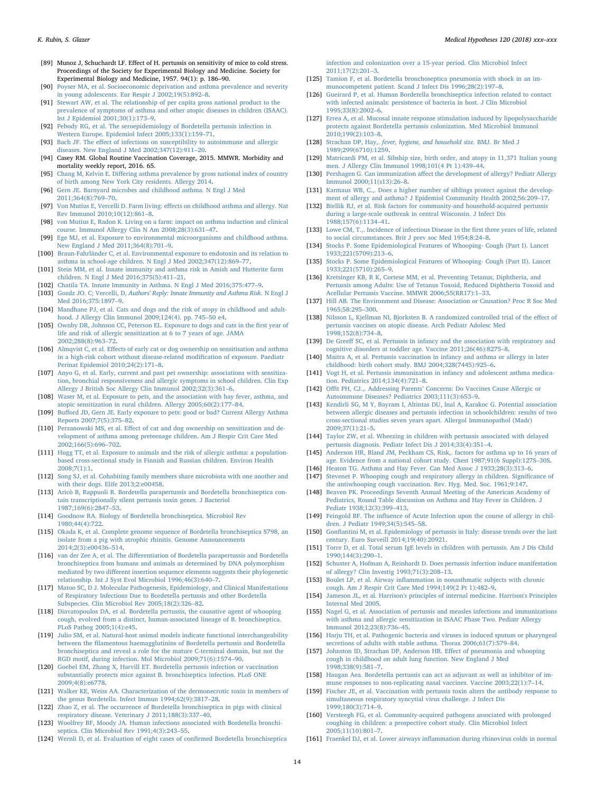- <span id="page-13-0"></span>[89] Munoz J, Schuchardt LF. Effect of H. pertussis on sensitivity of mice to cold stress. Proceedings of the Society for Experimental Biology and Medicine. Society for Experimental Biology and Medicine, 1957. 94(1): p. 186–90.
- <span id="page-13-1"></span>[90] [Poyser MA, et al. Socioeconomic deprivation and asthma prevalence and severity](http://refhub.elsevier.com/S0306-9877(18)30668-6/h0450) [in young adolescents. Eur Respir J 2002;19\(5\):892](http://refhub.elsevier.com/S0306-9877(18)30668-6/h0450)–8.
- <span id="page-13-2"></span>[91] [Stewart AW, et al. The relationship of per capita gross national product to the](http://refhub.elsevier.com/S0306-9877(18)30668-6/h0455) [prevalence of symptoms of asthma and other atopic diseases in children \(ISAAC\).](http://refhub.elsevier.com/S0306-9877(18)30668-6/h0455) [Int J Epidemiol 2001;30\(1\):173](http://refhub.elsevier.com/S0306-9877(18)30668-6/h0455)–9.
- [92] [Pebody RG, et al. The seroepidemiology of Bordetella pertussis infection in](http://refhub.elsevier.com/S0306-9877(18)30668-6/h0460) [Western Europe. Epidemiol Infect 2005;133\(1\):159](http://refhub.elsevier.com/S0306-9877(18)30668-6/h0460)–71.
- [93] Bach JF. The eff[ect of infections on susceptibility to autoimmune and allergic](http://refhub.elsevier.com/S0306-9877(18)30668-6/h0465) [diseases. New England J Med 2002;347\(12\):911](http://refhub.elsevier.com/S0306-9877(18)30668-6/h0465)–20.
- <span id="page-13-3"></span>[94] Casey RM. Global Routine Vaccination Coverage, 2015. MMWR. Morbidity and mortality weekly report, 2016. 65.
- <span id="page-13-4"></span>[95] Chang M, Kelvin E. Diff[ering asthma prevalence by gross national index of country](http://refhub.elsevier.com/S0306-9877(18)30668-6/h0475) [of birth among New York City residents. Allergy 2014.](http://refhub.elsevier.com/S0306-9877(18)30668-6/h0475)
- <span id="page-13-5"></span>[96] [Gern JE. Barnyard microbes and childhood asthma. N Engl J Med](http://refhub.elsevier.com/S0306-9877(18)30668-6/h0480)
- [2011;364\(8\):769](http://refhub.elsevier.com/S0306-9877(18)30668-6/h0480)–70.
- [97] Von Mutius E, Vercelli D. Farm living: eff[ects on childhood asthma and allergy. Nat](http://refhub.elsevier.com/S0306-9877(18)30668-6/h0485) [Rev Immunol 2010;10\(12\):861](http://refhub.elsevier.com/S0306-9877(18)30668-6/h0485)–8.
- [98] [von Mutius E, Radon K. Living on a farm: impact on asthma induction and clinical](http://refhub.elsevier.com/S0306-9877(18)30668-6/h0490) [course. Immunol Allergy Clin N Am 2008;28\(3\):631](http://refhub.elsevier.com/S0306-9877(18)30668-6/h0490)–47.
- <span id="page-13-6"></span>[99] [Ege MJ, et al. Exposure to environmental microorganisms and childhood asthma.](http://refhub.elsevier.com/S0306-9877(18)30668-6/h0495) [New England J Med 2011;364\(8\):701](http://refhub.elsevier.com/S0306-9877(18)30668-6/h0495)-9.
- <span id="page-13-7"></span>[100] [Braun-Fahrländer C, et al. Environmental exposure to endotoxin and its relation to](http://refhub.elsevier.com/S0306-9877(18)30668-6/h0500) [asthma in school-age children. N Engl J Med 2002;347\(12\):869](http://refhub.elsevier.com/S0306-9877(18)30668-6/h0500)–77.
- <span id="page-13-8"></span>[101] [Stein MM, et al. Innate immunity and asthma risk in Amish and Hutterite farm](http://refhub.elsevier.com/S0306-9877(18)30668-6/h0505) [children. N Engl J Med 2016;375\(5\):411](http://refhub.elsevier.com/S0306-9877(18)30668-6/h0505)–21.
- <span id="page-13-9"></span>[102] [Chatila TA. Innate Immunity in Asthma. N Engl J Med 2016;375:477](http://refhub.elsevier.com/S0306-9877(18)30668-6/h0510)–9.
- <span id="page-13-10"></span>[103] Gozdz JO. C; Vercelli, D, [Authors' Reply: Innate Immunity and Asthma Risk](http://refhub.elsevier.com/S0306-9877(18)30668-6/h0515). N Engl J [Med 2016;375:1897](http://refhub.elsevier.com/S0306-9877(18)30668-6/h0515)–9.
- <span id="page-13-11"></span>[104] [Mandhane PJ, et al. Cats and dogs and the risk of atopy in childhood and adult](http://refhub.elsevier.com/S0306-9877(18)30668-6/h0520)[hood. J Allergy Clin Immunol 2009;124\(4\). pp. 745](http://refhub.elsevier.com/S0306-9877(18)30668-6/h0520)–50 e4.
- <span id="page-13-13"></span>[105] [Ownby DR, Johnson CC, Peterson EL. Exposure to dogs and cats in the](http://refhub.elsevier.com/S0306-9877(18)30668-6/h0525) first year of life [and risk of allergic sensitization at 6 to 7 years of age. JAMA](http://refhub.elsevier.com/S0306-9877(18)30668-6/h0525) [2002;288\(8\):963](http://refhub.elsevier.com/S0306-9877(18)30668-6/h0525)–72.
- [106] Almqvist C, et al. Eff[ects of early cat or dog ownership on sensitisation and asthma](http://refhub.elsevier.com/S0306-9877(18)30668-6/h0530) [in a high-risk cohort without disease-related modi](http://refhub.elsevier.com/S0306-9877(18)30668-6/h0530)fication of exposure. Paediatr [Perinat Epidemiol 2010;24\(2\):171](http://refhub.elsevier.com/S0306-9877(18)30668-6/h0530)–8.
- [107] [Anyo G, et al. Early, current and past pet ownership: associations with sensitiza](http://refhub.elsevier.com/S0306-9877(18)30668-6/h0535)[tion, bronchial responsiveness and allergic symptoms in school children. Clin Exp](http://refhub.elsevier.com/S0306-9877(18)30668-6/h0535) [Allergy J British Soc Allergy Clin Immunol 2002;32\(3\):361](http://refhub.elsevier.com/S0306-9877(18)30668-6/h0535)–6.
- <span id="page-13-12"></span>[108] [Waser M, et al. Exposure to pets, and the association with hay fever, asthma, and](http://refhub.elsevier.com/S0306-9877(18)30668-6/h0540) [atopic sensitization in rural children. Allergy 2005;60\(2\):177](http://refhub.elsevier.com/S0306-9877(18)30668-6/h0540)–84.
- <span id="page-13-14"></span>[109] Buff[ord JD, Gern JE. Early exposure to pets: good or bad? Current Allergy Asthma](http://refhub.elsevier.com/S0306-9877(18)30668-6/h0545) [Reports 2007;7\(5\):375](http://refhub.elsevier.com/S0306-9877(18)30668-6/h0545)–82.
- [110] Perzanowski MS, et al. Eff[ect of cat and dog ownership on sensitization and de](http://refhub.elsevier.com/S0306-9877(18)30668-6/h0550)[velopment of asthma among preteenage children. Am J Respir Crit Care Med](http://refhub.elsevier.com/S0306-9877(18)30668-6/h0550) [2002;166\(5\):696](http://refhub.elsevier.com/S0306-9877(18)30668-6/h0550)–702.
- [111] [Hugg TT, et al. Exposure to animals and the risk of allergic asthma: a population](http://refhub.elsevier.com/S0306-9877(18)30668-6/h0555)[based cross-sectional study in Finnish and Russian children. Environ Health](http://refhub.elsevier.com/S0306-9877(18)30668-6/h0555) [2008;7\(1\):1.](http://refhub.elsevier.com/S0306-9877(18)30668-6/h0555)
- <span id="page-13-15"></span>[112] [Song SJ, et al. Cohabiting family members share microbiota with one another and](http://refhub.elsevier.com/S0306-9877(18)30668-6/h0560) [with their dogs. Elife 2013;2:e00458.](http://refhub.elsevier.com/S0306-9877(18)30668-6/h0560)
- <span id="page-13-16"></span>[113] [Aricò B, Rappuoli R. Bordetella parapertussis and Bordetella bronchiseptica con](http://refhub.elsevier.com/S0306-9877(18)30668-6/h0565)[tain transcriptionally silent pertussis toxin genes. J Bacteriol](http://refhub.elsevier.com/S0306-9877(18)30668-6/h0565) [1987;169\(6\):2847](http://refhub.elsevier.com/S0306-9877(18)30668-6/h0565)–53.
- <span id="page-13-17"></span>[114] [Goodnow RA. Biology of Bordetella bronchiseptica. Microbiol Rev](http://refhub.elsevier.com/S0306-9877(18)30668-6/h0570) [1980;44\(4\):722.](http://refhub.elsevier.com/S0306-9877(18)30668-6/h0570)
- <span id="page-13-18"></span>[115] [Okada K, et al. Complete genome sequence of Bordetella bronchiseptica S798, an](http://refhub.elsevier.com/S0306-9877(18)30668-6/h0575) [isolate from a pig with atrophic rhinitis. Genome Announcements](http://refhub.elsevier.com/S0306-9877(18)30668-6/h0575) [2014;2\(3\):e00436](http://refhub.elsevier.com/S0306-9877(18)30668-6/h0575)–514.
- <span id="page-13-19"></span>[116] van der Zee A, et al. The diff[erentiation of Bordetella parapertussis and Bordetella](http://refhub.elsevier.com/S0306-9877(18)30668-6/h0580) [bronchiseptica from humans and animals as determined by DNA polymorphism](http://refhub.elsevier.com/S0306-9877(18)30668-6/h0580) mediated by two diff[erent insertion sequence elements suggests their phylogenetic](http://refhub.elsevier.com/S0306-9877(18)30668-6/h0580) [relationship. Int J Syst Evol Microbiol 1996;46\(3\):640](http://refhub.elsevier.com/S0306-9877(18)30668-6/h0580)–7.
- <span id="page-13-48"></span>[117] [Matoo SC, D J. Molecular Pathogenesis, Epidemiology, and Clinical Manifestations](http://refhub.elsevier.com/S0306-9877(18)30668-6/h0585) [of Respiratory Infections Due to Bordetella pertussis and other Bordetella](http://refhub.elsevier.com/S0306-9877(18)30668-6/h0585) [Subspecies. Clin Microbiol Rev 2005;18\(2\):326](http://refhub.elsevier.com/S0306-9877(18)30668-6/h0585)–82.
- <span id="page-13-20"></span>[118] [Diavatopoulos DA, et al. Bordetella pertussis, the causative agent of whooping](http://refhub.elsevier.com/S0306-9877(18)30668-6/h0590) [cough, evolved from a distinct, human-associated lineage of B. bronchiseptica.](http://refhub.elsevier.com/S0306-9877(18)30668-6/h0590) [PLoS Pathog 2005;1\(4\):e45.](http://refhub.elsevier.com/S0306-9877(18)30668-6/h0590)
- <span id="page-13-21"></span>[119] [Julio SM, et al. Natural-host animal models indicate functional interchangeability](http://refhub.elsevier.com/S0306-9877(18)30668-6/h0595) between the fi[lamentous haemagglutinins of Bordetella pertussis and Bordetella](http://refhub.elsevier.com/S0306-9877(18)30668-6/h0595) [bronchiseptica and reveal a role for the mature C-terminal domain, but not the](http://refhub.elsevier.com/S0306-9877(18)30668-6/h0595) RGD [motif, during infection. Mol Microbiol 2009;71\(6\):1574](http://refhub.elsevier.com/S0306-9877(18)30668-6/h0595)–90.
- <span id="page-13-22"></span>[120] [Goebel EM, Zhang X, Harvill ET. Bordetella pertussis infection or vaccination](http://refhub.elsevier.com/S0306-9877(18)30668-6/h0600) [substantially protects mice against B. bronchiseptica infection. PLoS ONE](http://refhub.elsevier.com/S0306-9877(18)30668-6/h0600) [2009;4\(8\):e6778.](http://refhub.elsevier.com/S0306-9877(18)30668-6/h0600)
- <span id="page-13-23"></span>[121] [Walker KE, Weiss AA. Characterization of the dermonecrotic toxin in members of](http://refhub.elsevier.com/S0306-9877(18)30668-6/h0605) [the genus Bordetella. Infect Immun 1994;62\(9\):3817](http://refhub.elsevier.com/S0306-9877(18)30668-6/h0605)–28.
- <span id="page-13-24"></span>[122] [Zhao Z, et al. The occurrence of Bordetella bronchiseptica in pigs with clinical](http://refhub.elsevier.com/S0306-9877(18)30668-6/h0610) [respiratory disease. Veterinary J 2011;188\(3\):337](http://refhub.elsevier.com/S0306-9877(18)30668-6/h0610)–40.
- <span id="page-13-25"></span>[123] [Woolfrey BF, Moody JA. Human infections associated with Bordetella bronchi](http://refhub.elsevier.com/S0306-9877(18)30668-6/h0615)[septica. Clin Microbiol Rev 1991;4\(3\):243](http://refhub.elsevier.com/S0306-9877(18)30668-6/h0615)–55.
- [124] [Wernli D, et al. Evaluation of eight cases of con](http://refhub.elsevier.com/S0306-9877(18)30668-6/h0620)firmed Bordetella bronchiseptica

[infection and colonization over a 15-year period. Clin Microbiol Infect](http://refhub.elsevier.com/S0306-9877(18)30668-6/h0620)  $2011:17(2):201-3$ .

- [125] [Tamion F, et al. Bordetella bronchoseptica pneumonia with shock in an im](http://refhub.elsevier.com/S0306-9877(18)30668-6/h0625)[munocompetent patient. Scand J Infect Dis 1996;28\(2\):197](http://refhub.elsevier.com/S0306-9877(18)30668-6/h0625)–8.
- [126] [Gueirard P, et al. Human Bordetella bronchiseptica infection related to contact](http://refhub.elsevier.com/S0306-9877(18)30668-6/h0630) [with infected animals: persistence of bacteria in host. J Clin Microbiol](http://refhub.elsevier.com/S0306-9877(18)30668-6/h0630) [1995;33\(8\):2002](http://refhub.elsevier.com/S0306-9877(18)30668-6/h0630)–6.
- <span id="page-13-26"></span>[127] [Errea A, et al. Mucosal innate response stimulation induced by lipopolysaccharide](http://refhub.elsevier.com/S0306-9877(18)30668-6/h0635) [protects against Bordetella pertussis colonization. Med Microbiol Immunol](http://refhub.elsevier.com/S0306-9877(18)30668-6/h0635) [2010;199\(2\):103](http://refhub.elsevier.com/S0306-9877(18)30668-6/h0635)–8.
- <span id="page-13-27"></span>[128] Strachan DP, Hay,. [fever, hygiene, and household size.](http://refhub.elsevier.com/S0306-9877(18)30668-6/h0640) BMJ. Br Med J [1989;299\(6710\):1259.](http://refhub.elsevier.com/S0306-9877(18)30668-6/h0640)
- <span id="page-13-28"></span>[129] [Matricardi PM, et al. Sibship size, birth order, and atopy in 11,371 Italian young](http://refhub.elsevier.com/S0306-9877(18)30668-6/h0645) [men. J Allergy Clin Immunol 1998;101\(4 Pt 1\):439](http://refhub.elsevier.com/S0306-9877(18)30668-6/h0645)–44.
- [130] Pershagen G. Can immunization aff[ect the development of allergy? Pediatr Allergy](http://refhub.elsevier.com/S0306-9877(18)30668-6/h0650) [Immunol 2000;11\(s13\):26](http://refhub.elsevier.com/S0306-9877(18)30668-6/h0650)–8.
- [131] [Karmaus WB, C.,. Does a higher number of siblings protect against the develop](http://refhub.elsevier.com/S0306-9877(18)30668-6/h0655)[ment of allergy and asthma? J Epidemiol Community Health 2002;56:209](http://refhub.elsevier.com/S0306-9877(18)30668-6/h0655)–17. [132] [Biellik RJ, et al. Risk factors for community-and household-acquired pertussis](http://refhub.elsevier.com/S0306-9877(18)30668-6/h0660)
- <span id="page-13-29"></span>[during a large-scale outbreak in central Wisconsin. J Infect Dis](http://refhub.elsevier.com/S0306-9877(18)30668-6/h0660) [1988;157\(6\):1134](http://refhub.elsevier.com/S0306-9877(18)30668-6/h0660)–41.
- <span id="page-13-30"></span>[133] [Lowe CM, T.,. Incidence of infectious Disease in the](http://refhub.elsevier.com/S0306-9877(18)30668-6/h0665) first three years of life, related [to social circumstances. Brit J prev soc Med 1954;8:24](http://refhub.elsevier.com/S0306-9877(18)30668-6/h0665)–8.
- <span id="page-13-31"></span>[134] [Stocks P. Some Epidemiological Features of Whooping- Cough \(Part I\). Lancet](http://refhub.elsevier.com/S0306-9877(18)30668-6/h0670) [1933;221\(5709\):213](http://refhub.elsevier.com/S0306-9877(18)30668-6/h0670)–6.
- [135] Stocks [P. Some Epidemiological Features of Whooping- Cough \(Part II\). Lancet](http://refhub.elsevier.com/S0306-9877(18)30668-6/h0675) [1933;221\(5710\):265](http://refhub.elsevier.com/S0306-9877(18)30668-6/h0675)–9.
- <span id="page-13-32"></span>[136] [Kretsinger KB, R K, Cortese MM, et al. Preventing Tetanus, Diphtheria, and](http://refhub.elsevier.com/S0306-9877(18)30668-6/h0680) [Pertussis among Adults: Use of Tetanus Toxoid, Reduced Diphtheria Toxoid and](http://refhub.elsevier.com/S0306-9877(18)30668-6/h0680) [Acellular Pertussis Vaccine. MMWR 2006;55\(RR17\):1](http://refhub.elsevier.com/S0306-9877(18)30668-6/h0680)–33.
- <span id="page-13-33"></span>[137] [Hill AB. The Environment and Disease: Association or Causation? Proc R Soc Med](http://refhub.elsevier.com/S0306-9877(18)30668-6/h0685) [1965;58:295](http://refhub.elsevier.com/S0306-9877(18)30668-6/h0685)–300.
- <span id="page-13-34"></span>[138] [Nilsson L, Kjellman NI, Bjorksten B. A randomized controlled trial of the e](http://refhub.elsevier.com/S0306-9877(18)30668-6/h0690)ffect of [pertussis vaccines on atopic disease. Arch Pediatr Adolesc Med](http://refhub.elsevier.com/S0306-9877(18)30668-6/h0690) .<br>[1998;152\(8\):734](http://refhub.elsevier.com/S0306-9877(18)30668-6/h0690)–8.
- <span id="page-13-35"></span>[139] De Greeff [SC, et al. Pertussis in infancy and the association with respiratory and](http://refhub.elsevier.com/S0306-9877(18)30668-6/h0695) [cognitive disorders at toddler age. Vaccine 2011;26\(46\):8275](http://refhub.elsevier.com/S0306-9877(18)30668-6/h0695)–8.
- <span id="page-13-36"></span>[140] [Maitra A, et al. Pertussis vaccination in infancy and asthma or allergy in later](http://refhub.elsevier.com/S0306-9877(18)30668-6/h0700) [childhood: birth cohort study. BMJ 2004;328\(7445\):925](http://refhub.elsevier.com/S0306-9877(18)30668-6/h0700)–6.
- [141] [Vogt H, et al. Pertussis immunization in infancy and adolescent asthma medica](http://refhub.elsevier.com/S0306-9877(18)30668-6/h0705)[tion. Pediatrics 2014;134\(4\):721](http://refhub.elsevier.com/S0306-9877(18)30668-6/h0705)–8.
- <span id="page-13-37"></span>[142] Offit PH, CJ.,. Addressing Parents' [Concerns: Do Vaccines Cause Allergic or](http://refhub.elsevier.com/S0306-9877(18)30668-6/h0710) [Autoimmune Diseases? Pediatrics 2003;111\(3\):653](http://refhub.elsevier.com/S0306-9877(18)30668-6/h0710)–9.
- <span id="page-13-38"></span>[143] [Kendirli SG, M Y, Bayram I, Altintas DU, lnal A, Karakoc G. Potential association](http://refhub.elsevier.com/S0306-9877(18)30668-6/h0715) [between allergic diseases and pertussis infection in schoolchildren: results of two](http://refhub.elsevier.com/S0306-9877(18)30668-6/h0715) [cross-sectional studies seven years apart. Allergol Immunopathol \(Madr\)](http://refhub.elsevier.com/S0306-9877(18)30668-6/h0715) [2009;37\(1\):21](http://refhub.elsevier.com/S0306-9877(18)30668-6/h0715)–5.
- <span id="page-13-39"></span>[144] [Taylor ZW, et al. Wheezing in children with pertussis associated with delayed](http://refhub.elsevier.com/S0306-9877(18)30668-6/h0720) [pertussis diagnosis. Pediatr Infect Dis J 2014;33\(4\):351](http://refhub.elsevier.com/S0306-9877(18)30668-6/h0720)–4.
- <span id="page-13-40"></span>[145] [Anderson HR, Bland JM, Peckham CS, Risk,. factors for asthma up to 16 years of](http://refhub.elsevier.com/S0306-9877(18)30668-6/h0725) [age. Evidence from a national cohort study. Chest 1987;91\(6 Suppl\):127S](http://refhub.elsevier.com/S0306-9877(18)30668-6/h0725)–30S.
- <span id="page-13-41"></span>[146] [Heaton TG. Asthma and Hay Fever. Can Med Assoc J 1933;28\(3\):313](http://refhub.elsevier.com/S0306-9877(18)30668-6/h0730)–6.
- <span id="page-13-42"></span>[Stevenet P. Whooping cough and respiratory allergy in children. Signi](http://refhub.elsevier.com/S0306-9877(18)30668-6/h0735)ficance of [the antiwhooping cough vaccination. Rev. Hyg. Med. Soc. 1961;9:147.](http://refhub.elsevier.com/S0306-9877(18)30668-6/h0735)
- <span id="page-13-43"></span>[148] [Beaven PK. Proceedings Seventh Annual Meeting of the American Academy of](http://refhub.elsevier.com/S0306-9877(18)30668-6/h0740) [Pediatrics, Round Table discussion on Asthma and Hay Fever in Children. J](http://refhub.elsevier.com/S0306-9877(18)30668-6/h0740) [Pediatr 1938;12\(3\):399](http://refhub.elsevier.com/S0306-9877(18)30668-6/h0740)–413.
- <span id="page-13-44"></span>[149] Feingold BF. The influence [of Acute Infection upon the course of allergy in chil](http://refhub.elsevier.com/S0306-9877(18)30668-6/h0745)[dren. J Pediatr 1949;34\(5\):545](http://refhub.elsevier.com/S0306-9877(18)30668-6/h0745)–58.
- <span id="page-13-45"></span>[150] Gonfi[antini M, et al. Epidemiology of pertussis in Italy: disease trends over the last](http://refhub.elsevier.com/S0306-9877(18)30668-6/h0750) [century. Euro Surveill 2014;19\(40\):20921.](http://refhub.elsevier.com/S0306-9877(18)30668-6/h0750)
- <span id="page-13-46"></span>[151] [Torre D, et al. Total serum IgE levels in children with pertussis. Am J Dis Child](http://refhub.elsevier.com/S0306-9877(18)30668-6/h0755) [1990;144\(3\):290](http://refhub.elsevier.com/S0306-9877(18)30668-6/h0755)–1.
- <span id="page-13-47"></span>[152] [Schuster A, Hofman A, Reinhardt D. Does pertussis infection induce manifestation](http://refhub.elsevier.com/S0306-9877(18)30668-6/h0760) [of allergy? Clin Investig 1993;71\(3\):208](http://refhub.elsevier.com/S0306-9877(18)30668-6/h0760)–13.
- [153] Boulet LP, et al. Airway infl[ammation in nonasthmatic subjects with chronic](http://refhub.elsevier.com/S0306-9877(18)30668-6/h0765) [cough. Am J Respir Crit Care Med 1994;149\(2 Pt 1\):482](http://refhub.elsevier.com/S0306-9877(18)30668-6/h0765)–9.
- <span id="page-13-49"></span>[154] [Jameson JL, et al. Harrison's principles of internal medicine. Harrison's Principles](http://refhub.elsevier.com/S0306-9877(18)30668-6/h0770) [Internal Med 2005.](http://refhub.elsevier.com/S0306-9877(18)30668-6/h0770)
- <span id="page-13-50"></span>[155] [Nagel G, et al. Association of pertussis and measles infections and immunizations](http://refhub.elsevier.com/S0306-9877(18)30668-6/h0775) [with asthma and allergic sensitization in ISAAC Phase Two. Pediatr Allergy](http://refhub.elsevier.com/S0306-9877(18)30668-6/h0775) [Immunol 2012;23\(8\):736](http://refhub.elsevier.com/S0306-9877(18)30668-6/h0775)–45.
- <span id="page-13-51"></span>[156] [Harju TH, et al. Pathogenic bacteria and viruses in induced sputum or pharyngeal](http://refhub.elsevier.com/S0306-9877(18)30668-6/h0780) ecretions of adults with stable asthma. Thorax 2006:61(7):579–84.
- <span id="page-13-52"></span>[157] [Johnston ID, Strachan DP, Anderson HR. E](http://refhub.elsevier.com/S0306-9877(18)30668-6/h0785)ffect of pneumonia and whooping [cough in childhood on adult lung function. New England J Med](http://refhub.elsevier.com/S0306-9877(18)30668-6/h0785) [1998;338\(9\):581](http://refhub.elsevier.com/S0306-9877(18)30668-6/h0785)–7.
- <span id="page-13-53"></span>[158] [Haugan Aea. Bordetella pertussis can act as adjuvant as well as inhibitor of im](http://refhub.elsevier.com/S0306-9877(18)30668-6/h0790)[mune responses to non-replicating nasal vaccines. Vaccine 2003;22\(1\):7](http://refhub.elsevier.com/S0306-9877(18)30668-6/h0790)–14.
- <span id="page-13-56"></span>[159] [Fischer JE, et al. Vaccination with pertussis toxin alters the antibody response to](http://refhub.elsevier.com/S0306-9877(18)30668-6/h0795) [simultaneous respiratory syncytial virus challenge. J Infect Dis](http://refhub.elsevier.com/S0306-9877(18)30668-6/h0795) [1999;180\(3\):714](http://refhub.elsevier.com/S0306-9877(18)30668-6/h0795)–9.
- <span id="page-13-54"></span>[160] [Versteegh FG, et al. Community-acquired pathogens associated with prolonged](http://refhub.elsevier.com/S0306-9877(18)30668-6/h0800) [coughing in children: a prospective cohort study. Clin Microbiol Infect](http://refhub.elsevier.com/S0306-9877(18)30668-6/h0800) [2005;11\(10\):801](http://refhub.elsevier.com/S0306-9877(18)30668-6/h0800)–7.
- <span id="page-13-55"></span>[161] Fraenkel DJ, et al. Lower airways infl[ammation during rhinovirus colds in normal](http://refhub.elsevier.com/S0306-9877(18)30668-6/h0805)